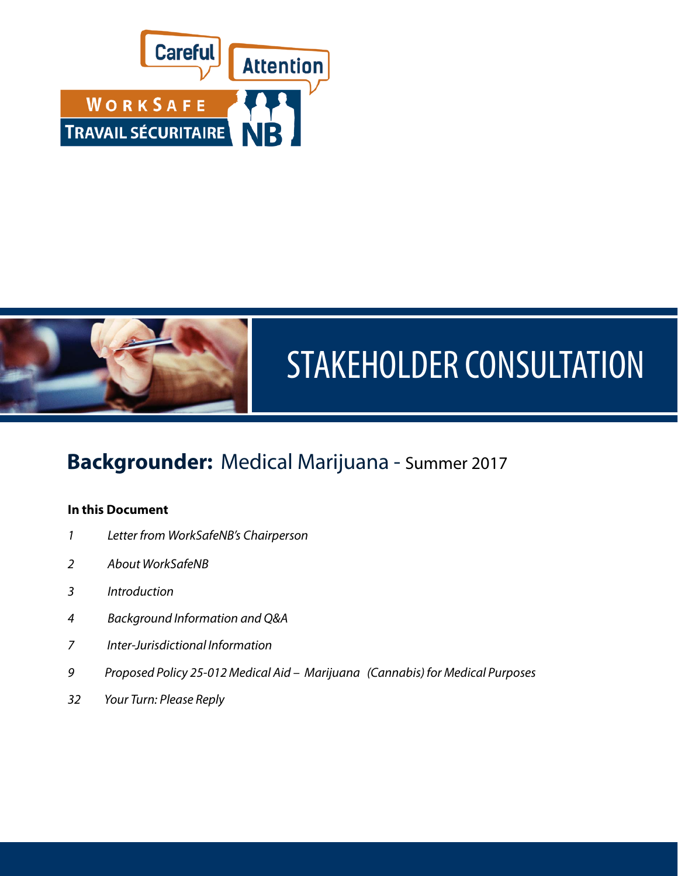



# STAKEHOLDER CONSULTATION

# **Backgrounder:** Medical Marijuana - Summer 2017

### **In this Document**

- *1 Letter from WorkSafeNB's Chairperson*
- *2 About WorkSafeNB*
- *3 Introduction*
- *4 Background Information and Q&A*
- *7 Inter-Jurisdictional Information*
- *9 Proposed Policy 25-012 Medical Aid Marijuana (Cannabis) for Medical Purposes*
- 32 *Your Turn: Please Reply*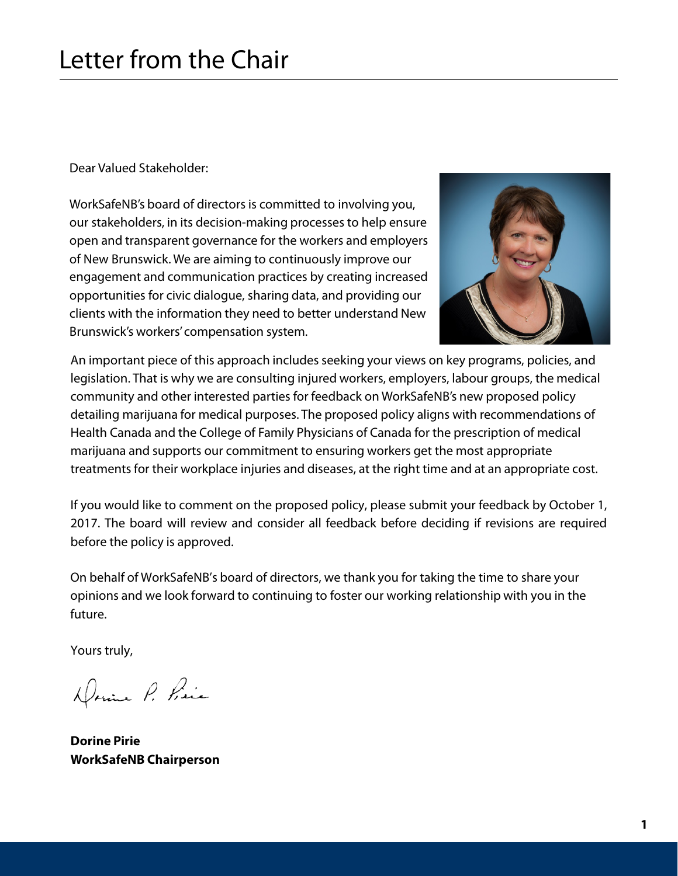Dear Valued Stakeholder:

WorkSafeNB's board of directors is committed to involving you, our stakeholders, in its decision-making processes to help ensure open and transparent governance for the workers and employers of New Brunswick. We are aiming to continuously improve our engagement and communication practices by creating increased opportunities for civic dialogue, sharing data, and providing our clients with the information they need to better understand New Brunswick's workers' compensation system.



An important piece of this approach includes seeking your views on key programs, policies, and legislation. That is why we are consulting injured workers, employers, labour groups, the medical community and other interested parties for feedback on WorkSafeNB's new proposed policy detailing marijuana for medical purposes. The proposed policy aligns with recommendations of Health Canada and the College of Family Physicians of Canada for the prescription of medical marijuana and supports our commitment to ensuring workers get the most appropriate treatments for their workplace injuries and diseases, at the right time and at an appropriate cost.

If you would like to comment on the proposed policy, please submit your feedback by October 1, 2017. The board will review and consider all feedback before deciding if revisions are required before the policy is approved.

On behalf of WorkSafeNB's board of directors, we thank you for taking the time to share your opinions and we look forward to continuing to foster our working relationship with you in the future.

Yours truly,

Donne P. Pisic

**Dorine Pirie WorkSafeNB Chairperson**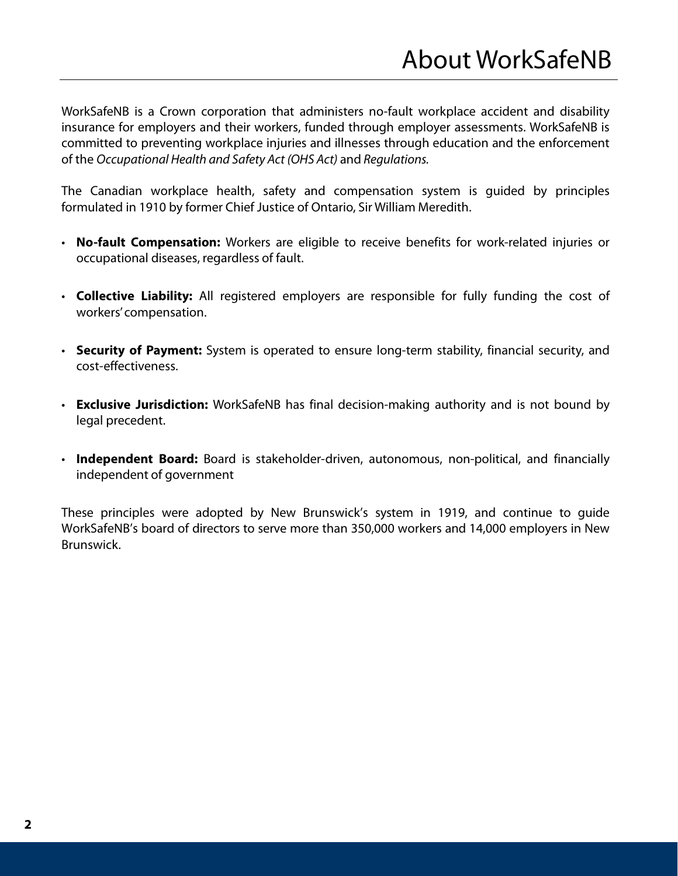WorkSafeNB is a Crown corporation that administers no-fault workplace accident and disability insurance for employers and their workers, funded through employer assessments. WorkSafeNB is committed to preventing workplace injuries and illnesses through education and the enforcement of the *Occupational Health and Safety Act (OHS Act)* and *Regulations.* 

The Canadian workplace health, safety and compensation system is guided by principles formulated in 1910 by former Chief Justice of Ontario, Sir William Meredith.

- **No-fault Compensation:** Workers are eligible to receive benefits for work-related injuries or occupational diseases, regardless of fault.
- **Collective Liability:** All registered employers are responsible for fully funding the cost of workers' compensation.
- **Security of Payment:** System is operated to ensure long-term stability, financial security, and cost-effectiveness.
- **Exclusive Jurisdiction:** WorkSafeNB has final decision-making authority and is not bound by legal precedent.
- **Independent Board:** Board is stakeholder-driven, autonomous, non-political, and financially independent of government

These principles were adopted by New Brunswick's system in 1919, and continue to guide WorkSafeNB's board of directors to serve more than 350,000 workers and 14,000 employers in New Brunswick.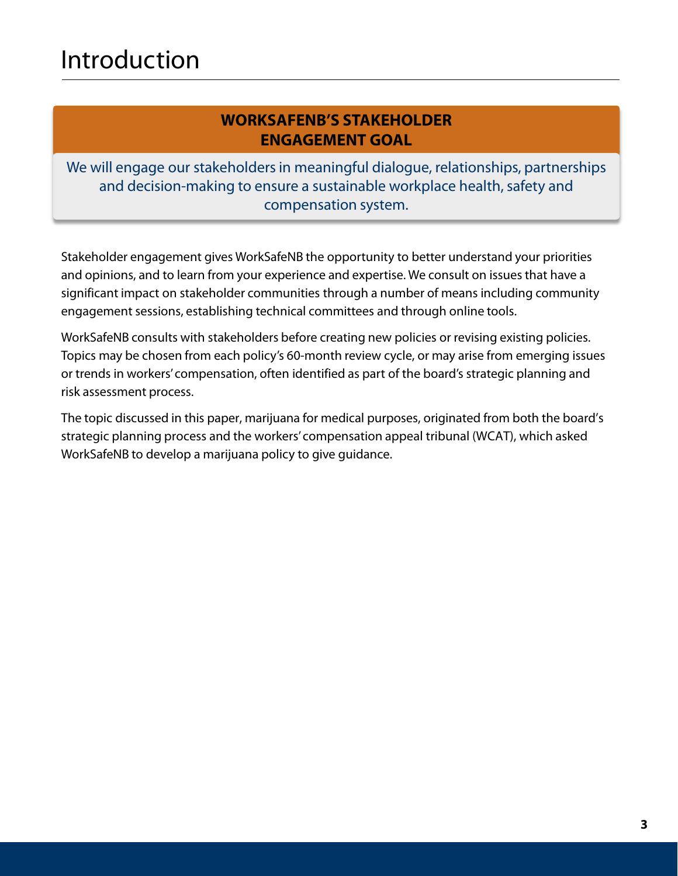## **WORKSAFENB'S STAKEHOLDER ENGAGEMENT GOAL**

We will engage our stakeholders in meaningful dialogue, relationships, partnerships and decision-making to ensure a sustainable workplace health, safety and compensation system.

Stakeholder engagement gives WorkSafeNB the opportunity to better understand your priorities and opinions, and to learn from your experience and expertise. We consult on issues that have a significant impact on stakeholder communities through a number of means including community engagement sessions, establishing technical committees and through online tools.

WorkSafeNB consults with stakeholders before creating new policies or revising existing policies. Topics may be chosen from each policy's 60-month review cycle, or may arise from emerging issues or trends in workers' compensation, often identified as part of the board's strategic planning and risk assessment process.

The topic discussed in this paper, marijuana for medical purposes, originated from both the board's strategic planning process and the workers' compensation appeal tribunal (WCAT), which asked WorkSafeNB to develop a marijuana policy to give guidance.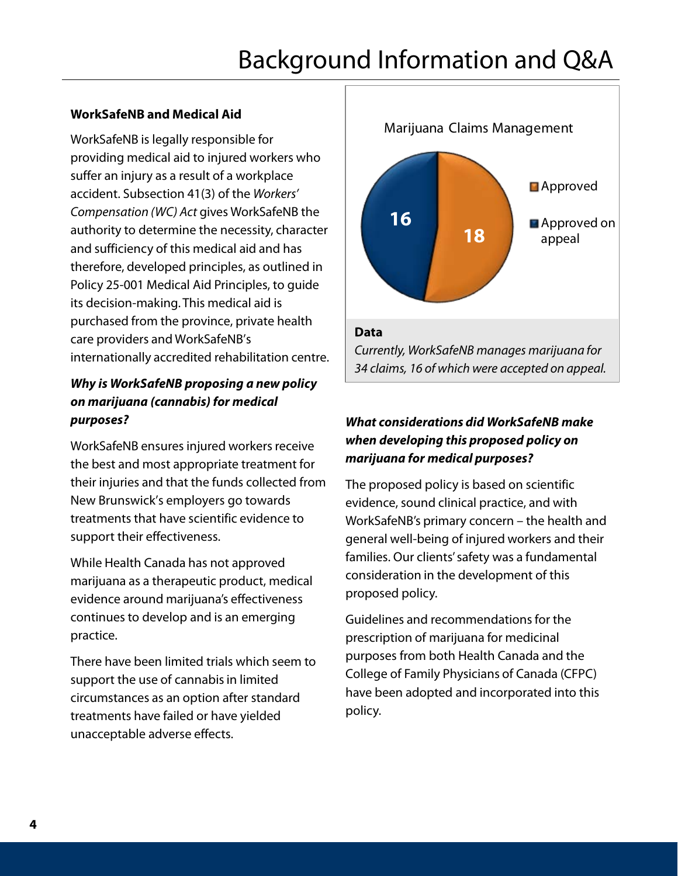# Background Information and Q&A

### **WorkSafeNB and Medical Aid**

WorkSafeNB is legally responsible for providing medical aid to injured workers who suffer an injury as a result of a workplace accident. Subsection 41(3) of the *Workers' Compensation (WC) Act* gives WorkSafeNB the authority to determine the necessity, character and sufficiency of this medical aid and has therefore, developed principles, as outlined in Policy 25-001 Medical Aid Principles, to guide its decision-making. This medical aid is purchased from the province, private health care providers and WorkSafeNB's internationally accredited rehabilitation centre.

## *Why is WorkSafeNB proposing a new policy on marijuana (cannabis) for medical purposes?*

WorkSafeNB ensures injured workers receive the best and most appropriate treatment for their injuries and that the funds collected from New Brunswick's employers go towards treatments that have scientific evidence to support their effectiveness.

While Health Canada has not approved marijuana as a therapeutic product, medical evidence around marijuana's effectiveness continues to develop and is an emerging practice.

There have been limited trials which seem to support the use of cannabis in limited circumstances as an option after standard treatments have failed or have yielded unacceptable adverse effects.



## *What considerations did WorkSafeNB make when developing this proposed policy on marijuana for medical purposes?*

The proposed policy is based on scientific evidence, sound clinical practice, and with WorkSafeNB's primary concern – the health and general well-being of injured workers and their families. Our clients' safety was a fundamental consideration in the development of this proposed policy.

Guidelines and recommendations for the prescription of marijuana for medicinal purposes from both Health Canada and the College of Family Physicians of Canada (CFPC) have been adopted and incorporated into this policy.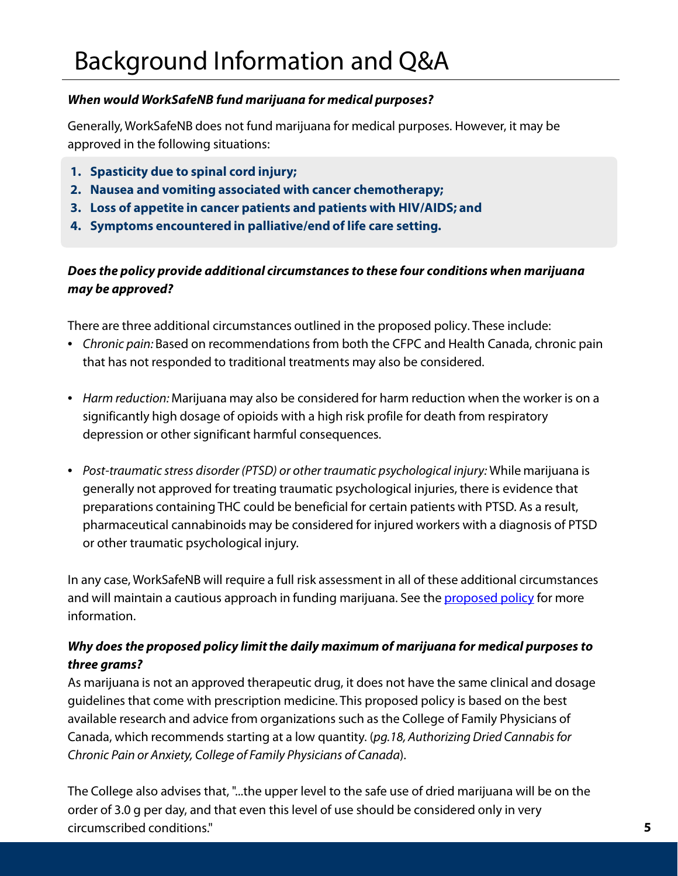### *When would WorkSafeNB fund marijuana for medical purposes?*

Generally, WorkSafeNB does not fund marijuana for medical purposes. However, it may be approved in the following situations:

- **1. Spasticity due to spinal cord injury;**
- **2. Nausea and vomiting associated with cancer chemotherapy;**
- **3. Loss of appetite in cancer patients and patients with HIV/AIDS; and**
- **4. Symptoms encountered in palliative/end of life care setting.**

## *Does the policy provide additional circumstances to these four conditions when marijuana may be approved?*

There are three additional circumstances outlined in the proposed policy. These include:

- *Chronic pain:* Based on recommendations from both the CFPC and Health Canada, chronic pain that has not responded to traditional treatments may also be considered.
- *Harm reduction:* Marijuana may also be considered for harm reduction when the worker is on a significantly high dosage of opioids with a high risk profile for death from respiratory depression or other significant harmful consequences.
- *Post-traumatic stress disorder (PTSD) or other traumatic psychological injury:* While marijuana is generally not approved for treating traumatic psychological injuries, there is evidence that preparations containing THC could be beneficial for certain patients with PTSD. As a result, pharmaceutical cannabinoids may be considered for injured workers with a diagnosis of PTSD or other traumatic psychological injury.

In any case, WorkSafeNB will require a full risk assessment in all of these additional circumstances and will maintain a cautious approach in funding marijuana. See the [proposed policy](#page-9-0) for more information.

## *Why does the proposed policy limit the daily maximum of marijuana for medical purposes to three grams?*

As marijuana is not an approved therapeutic drug, it does not have the same clinical and dosage guidelines that come with prescription medicine. This proposed policy is based on the best available research and advice from organizations such as the College of Family Physicians of Canada, which recommends starting at a low quantity. (*pg.18, Authorizing Dried Cannabis for Chronic Pain or Anxiety, College of Family Physicians of Canada*).

The College also advises that, "...the upper level to the safe use of dried marijuana will be on the order of 3.0 g per day, and that even this level of use should be considered only in very circumscribed conditions."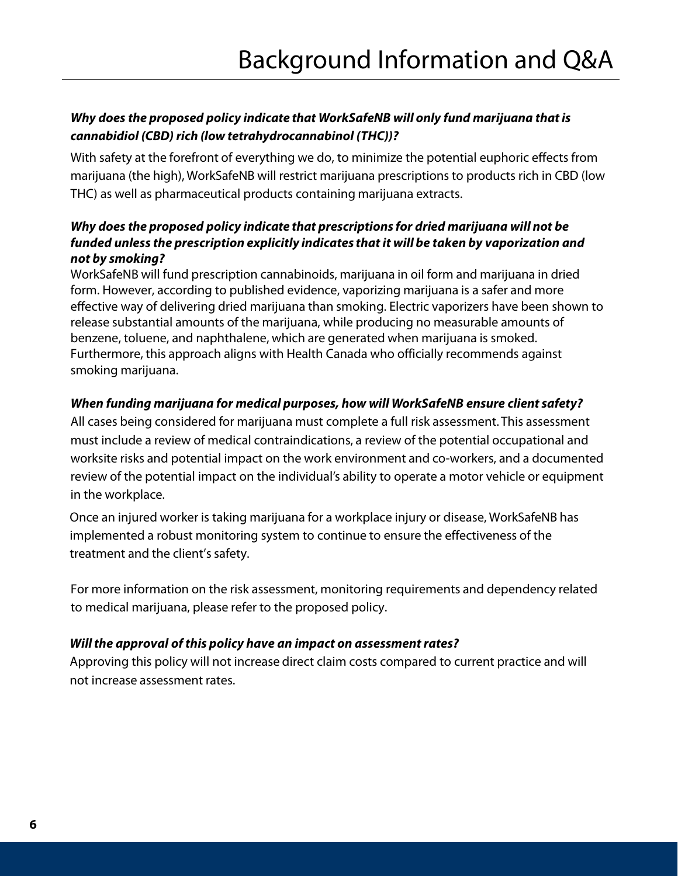## *Why does the proposed policy indicate that WorkSafeNB will only fund marijuana that is cannabidiol (CBD) rich (low tetrahydrocannabinol (THC))?*

With safety at the forefront of everything we do, to minimize the potential euphoric effects from marijuana (the high), WorkSafeNB will restrict marijuana prescriptionsto products rich in CBD (low THC) as well as pharmaceutical products containing marijuana extracts.

### *Why does the proposed policy indicate that prescriptions for dried marijuana will not be funded unless the prescription explicitly indicates that it will be taken by vaporization and not by smoking?*

WorkSafeNB will fund prescription cannabinoids, marijuana in oil form and marijuana in dried form. However, according to published evidence, vaporizing marijuana is a safer and more effective way of delivering dried marijuana than smoking. Electric vaporizers have been shown to release substantial amounts of the marijuana, while producing no measurable amounts of benzene, toluene, and naphthalene, which are generated when marijuana is smoked. Furthermore, this approach aligns with Health Canada who officially recommends against smoking marijuana.

### *When funding marijuana for medical purposes, how will WorkSafeNB ensure client safety?*

All cases being considered for marijuana must complete a full risk assessment. This assessment must include a review of medical contraindications, a review of the potential occupational and worksite risks and potential impact on the work environment and co-workers, and a documented review of the potential impact on the individual's ability to operate a motor vehicle or equipment in the workplace.

Once an injured worker is taking marijuana for a workplace injury or disease, WorkSafeNB has implemented a robust monitoring system to continue to ensure the effectiveness of the treatment and the client's safety.

For more information on the risk assessment, monitoring requirements and dependency related to medical marijuana, please refer to the proposed policy.

### *Will the approval of this policy have an impact on assessmentrates?*

Approving this policy will not increase direct claim costs compared to current practice and will not increase assessment rates.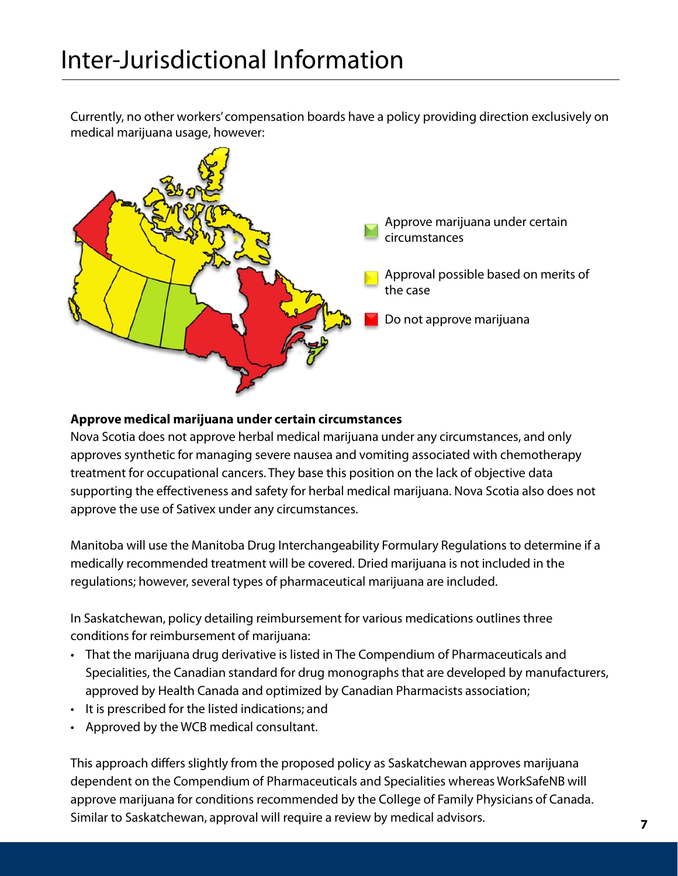Currently, no other workers' compensation boards have a policy providing direction exclusively on medical marijuana usage, however:



### **Approve medical marijuana under certain circumstances**

Nova Scotia does not approve herbal medical marijuana under any circumstances, and only approves synthetic for managing severe nausea and vomiting associated with chemotherapy treatment for occupational cancers. They base this position on the lack of objective data supporting the effectiveness and safety for herbal medical marijuana. Nova Scotia also does not approve the use of Sativex under any circumstances.

Manitoba will use the Manitoba Drug Interchangeability Formulary Regulations to determine if a medically recommended treatment will be covered. Dried marijuana is not included in the regulations; however, several types of pharmaceutical marijuana are included.

In Saskatchewan, policy detailing reimbursement for various medications outlines three conditions for reimbursement of marijuana:

- That the marijuana drug derivative is listed in The Compendium of Pharmaceuticals and Specialities, the Canadian standard for drug monographs that are developed by manufacturers, approved by Health Canada and optimized by Canadian Pharmacists association;
- It is prescribed for the listed indications; and
- Approved by the WCB medical consultant.

This approach differs slightly from the proposed policy as Saskatchewan approves marijuana dependent on the Compendium of Pharmaceuticals and Specialities whereas WorkSafeNB will approve marijuana for conditions recommended by the College of Family Physicians of Canada. Similar to Saskatchewan, approval will require a review by medical advisors.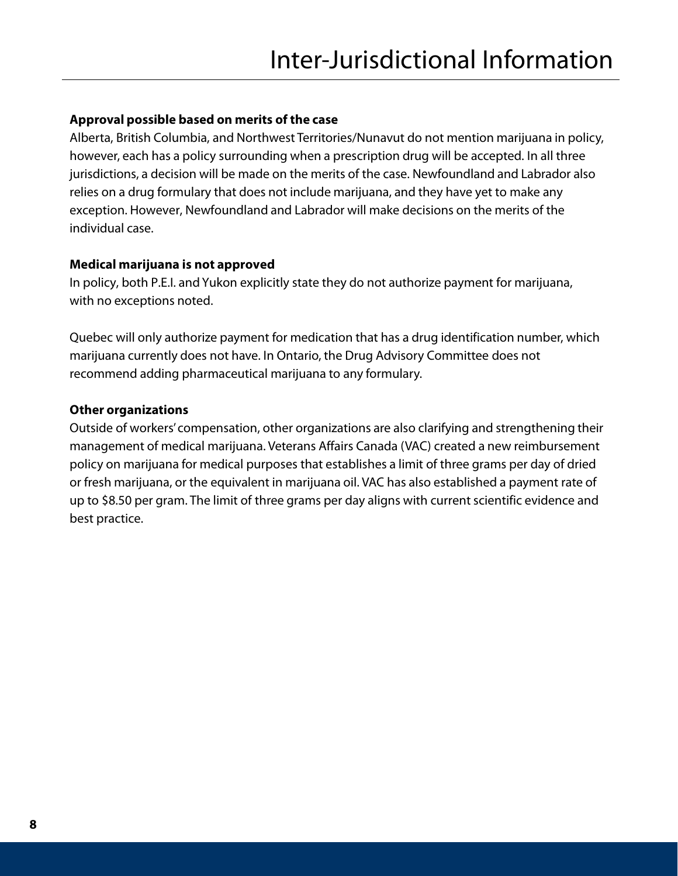### **Approval possible based on merits of the case**

Alberta, British Columbia, and Northwest Territories/Nunavut do not mention marijuana in policy, however, each has a policy surrounding when a prescription drug will be accepted. In all three jurisdictions, a decision will be made on the merits of the case. Newfoundland and Labrador also relies on a drug formulary that does not include marijuana, and they have yet to make any exception. However, Newfoundland and Labrador will make decisions on the merits of the individual case.

### **Medical marijuana is not approved**

In policy, both P.E.I. and Yukon explicitly state they do not authorize payment for marijuana, with no exceptions noted.

Quebec will only authorize payment for medication that has a drug identification number, which marijuana currently does not have. In Ontario, the Drug Advisory Committee does not recommend adding pharmaceutical marijuana to any formulary.

### **Other organizations**

Outside of workers' compensation, other organizations are also clarifying and strengthening their management of medical marijuana. Veterans Affairs Canada (VAC) created a new reimbursement policy on marijuana for medical purposes that establishes a limit of three grams per day of dried or fresh marijuana, or the equivalent in marijuana oil. VAC has also established a payment rate of up to \$8.50 per gram. The limit of three grams per day aligns with current scientific evidence and best practice.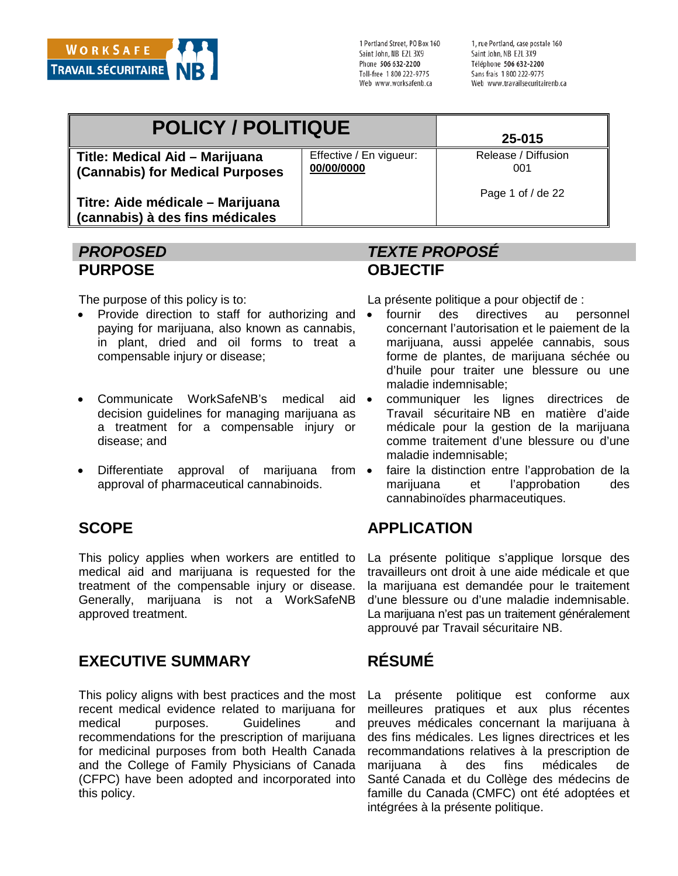<span id="page-9-0"></span>

1 Portland Street, PO Box 160 Saint John NB F2L 3X9 Phone 506 632-2200 Toll-free 1800 222-9775 Web www.worksafenb.ca

1, rue Portland, case postale 160 Saint John, NB E2L 3X9 Téléphone 506 632-2200 Sans frais 1800 222-9775 Web www.travailsecuritairenb.ca

### **POLICY / POLITIQUE 25-015 Title: Medical Aid – Marijuana (Cannabis) for Medical Purposes Titre: Aide médicale – Marijuana**  Effective / En vigueur: **00/00/0000** Release / Diffusion 001 Page 1 of / de 22

**(cannabis) à des fins médicales**

- Provide direction to staff for authorizing and paying for marijuana, also known as cannabis, in plant, dried and oil forms to treat a compensable injury or disease;
- Communicate WorkSafeNB's medical aid decision guidelines for managing marijuana as a treatment for a compensable injury or disease; and
- **Differentiate approval of marijuana from** approval of pharmaceutical cannabinoids.

This policy applies when workers are entitled to medical aid and marijuana is requested for the treatment of the compensable injury or disease. Generally, marijuana is not a WorkSafeNB approved treatment.

# **EXECUTIVE SUMMARY RÉSUMÉ**

This policy aligns with best practices and the most recent medical evidence related to marijuana for medical purposes. Guidelines and recommendations for the prescription of marijuana for medicinal purposes from both Health Canada and the College of Family Physicians of Canada (CFPC) have been adopted and incorporated into this policy.

## *PROPOSED TEXTE PROPOSÉ* **PURPOSE OBJECTIF**

The purpose of this policy is to: La présente politique a pour objectif de :

- fournir des directives au personnel concernant l'autorisation et le paiement de la marijuana, aussi appelée cannabis, sous forme de plantes, de marijuana séchée ou d'huile pour traiter une blessure ou une maladie indemnisable;
- communiquer les lignes directrices de Travail sécuritaire NB en matière d'aide médicale pour la gestion de la marijuana comme traitement d'une blessure ou d'une maladie indemnisable;
- faire la distinction entre l'approbation de la marijuana et l'approbation des cannabinoïdes pharmaceutiques.

# **SCOPE APPLICATION**

La présente politique s'applique lorsque des travailleurs ont droit à une aide médicale et que la marijuana est demandée pour le traitement d'une blessure ou d'une maladie indemnisable. La marijuana n'est pas un traitement généralement approuvé par Travail sécuritaire NB.

La présente politique est conforme aux meilleures pratiques et aux plus récentes preuves médicales concernant la marijuana à des fins médicales. Les lignes directrices et les recommandations relatives à la prescription de marijuana à des fins médicales de Santé Canada et du Collège des médecins de famille du Canada (CMFC) ont été adoptées et intégrées à la présente politique.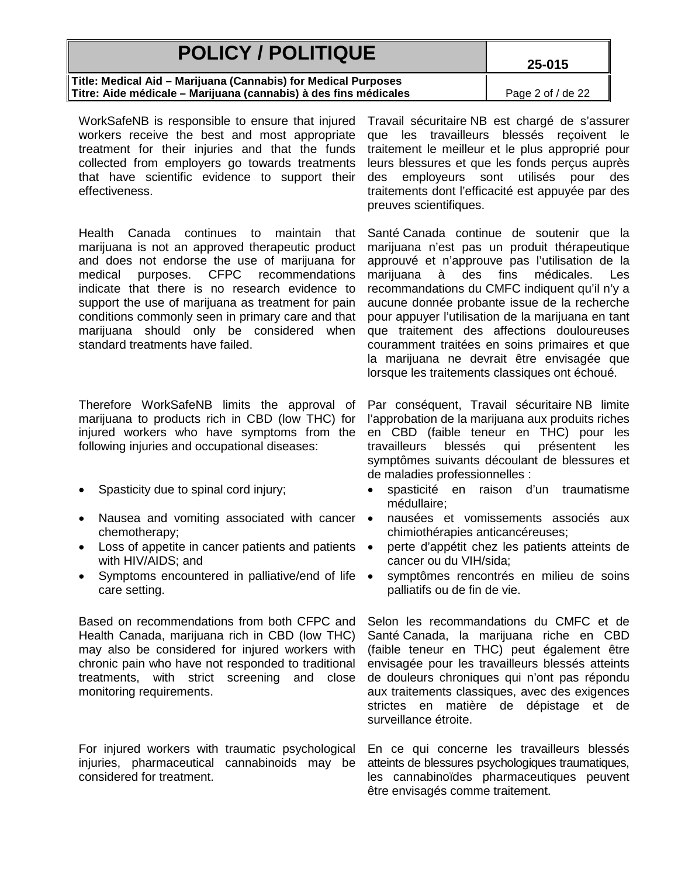**Title: Medical Aid – Marijuana (Cannabis) for Medical Purposes Titre: Aide médicale – Marijuana (cannabis) à des fins médicales** Page 2 of / de 22

WorkSafeNB is responsible to ensure that injured workers receive the best and most appropriate treatment for their injuries and that the funds collected from employers go towards treatments that have scientific evidence to support their effectiveness.

Health Canada continues to maintain that marijuana is not an approved therapeutic product and does not endorse the use of marijuana for medical purposes. CFPC recommendations indicate that there is no research evidence to support the use of marijuana as treatment for pain conditions commonly seen in primary care and that marijuana should only be considered when standard treatments have failed.

Therefore WorkSafeNB limits the approval of marijuana to products rich in CBD (low THC) for injured workers who have symptoms from the following injuries and occupational diseases:

- 
- Nausea and vomiting associated with cancer chemotherapy;
- Loss of appetite in cancer patients and patients with HIV/AIDS; and
- Symptoms encountered in palliative/end of life care setting.

Based on recommendations from both CFPC and Health Canada, marijuana rich in CBD (low THC) may also be considered for injured workers with chronic pain who have not responded to traditional treatments, with strict screening and close monitoring requirements.

For injured workers with traumatic psychological injuries, pharmaceutical cannabinoids may be considered for treatment.

Travail sécuritaire NB est chargé de s'assurer que les travailleurs blessés reçoivent le traitement le meilleur et le plus approprié pour leurs blessures et que les fonds perçus auprès<br>des employeurs sont utilisés pour des employeurs sont utilisés pour des traitements dont l'efficacité est appuyée par des preuves scientifiques.

Santé Canada continue de soutenir que la marijuana n'est pas un produit thérapeutique approuvé et n'approuve pas l'utilisation de la marijuana à des fins médicales. Les recommandations du CMFC indiquent qu'il n'y a aucune donnée probante issue de la recherche pour appuyer l'utilisation de la marijuana en tant que traitement des affections douloureuses couramment traitées en soins primaires et que la marijuana ne devrait être envisagée que lorsque les traitements classiques ont échoué.

Par conséquent, Travail sécuritaire NB limite l'approbation de la marijuana aux produits riches en CBD (faible teneur en THC) pour les<br>travailleurs blessés qui présentent les travailleurs blessés qui présentent les symptômes suivants découlant de blessures et de maladies professionnelles :

- Spasticity due to spinal cord injury;  $\bullet$  spasticité en raison d'un traumatisme médullaire;
	- nausées et vomissements associés aux chimiothérapies anticancéreuses;
	- perte d'appétit chez les patients atteints de cancer ou du VIH/sida;
	- symptômes rencontrés en milieu de soins palliatifs ou de fin de vie.

Selon les recommandations du CMFC et de Santé Canada, la marijuana riche en CBD (faible teneur en THC) peut également être envisagée pour les travailleurs blessés atteints de douleurs chroniques qui n'ont pas répondu aux traitements classiques, avec des exigences strictes en matière de dépistage et de surveillance étroite.

En ce qui concerne les travailleurs blessés atteints de blessures psychologiques traumatiques, les cannabinoïdes pharmaceutiques peuvent être envisagés comme traitement.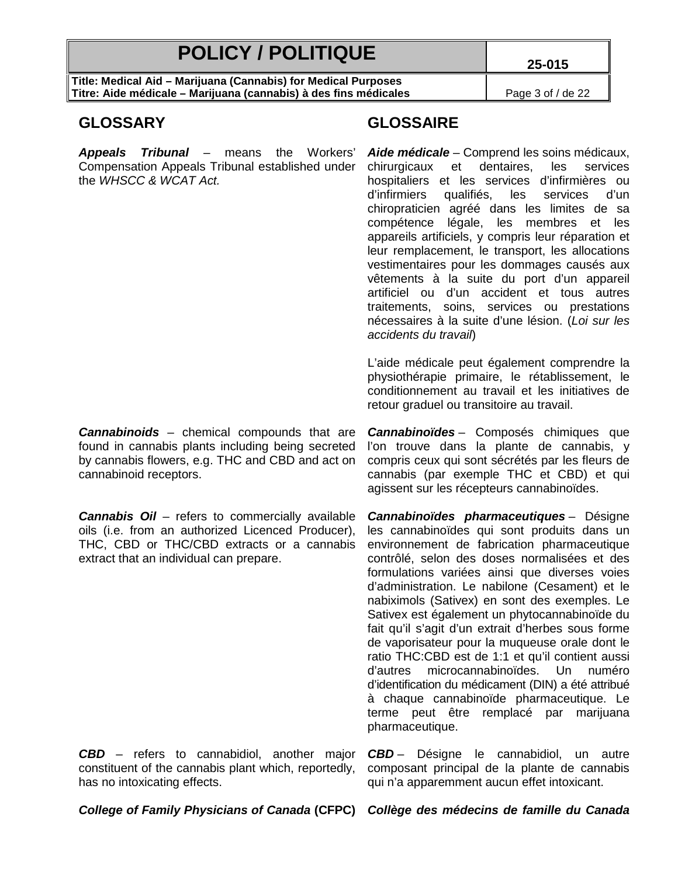**Title: Medical Aid – Marijuana (Cannabis) for Medical Purposes Titre: Aide médicale – Marijuana (cannabis) à des fins médicales** Page 3 of / de 22

*Appeals Tribunal* – means the Workers' Compensation Appeals Tribunal established under the *WHSCC & WCAT Act.*

## **GLOSSARY GLOSSAIRE**

*Aide médicale* – Comprend les soins médicaux, chirurgicaux et dentaires, les services hospitaliers et les services d'infirmières ou d'infirmiers qualifiés, les services d'un chiropraticien agréé dans les limites de sa compétence légale, les membres et les appareils artificiels, y compris leur réparation et leur remplacement, le transport, les allocations vestimentaires pour les dommages causés aux vêtements à la suite du port d'un appareil artificiel ou d'un accident et tous autres traitements, soins, services ou prestations nécessaires à la suite d'une lésion. (*Loi sur les accidents du travail*)

L'aide médicale peut également comprendre la physiothérapie primaire, le rétablissement, le conditionnement au travail et les initiatives de retour graduel ou transitoire au travail.

*Cannabinoids* – chemical compounds that are found in cannabis plants including being secreted by cannabis flowers, e.g. THC and CBD and act on cannabinoid receptors.

**Cannabis Oil** – refers to commercially available oils (i.e. from an authorized Licenced Producer), THC, CBD or THC/CBD extracts or a cannabis extract that an individual can prepare.

*Cannabinoïdes* – Composés chimiques que l'on trouve dans la plante de cannabis, y compris ceux qui sont sécrétés par les fleurs de cannabis (par exemple THC et CBD) et qui agissent sur les récepteurs cannabinoïdes.

*Cannabinoïdes pharmaceutiques* – Désigne les cannabinoïdes qui sont produits dans un environnement de fabrication pharmaceutique contrôlé, selon des doses normalisées et des formulations variées ainsi que diverses voies d'administration. Le nabilone (Cesament) et le nabiximols (Sativex) en sont des exemples. Le Sativex est également un phytocannabinoïde du fait qu'il s'agit d'un extrait d'herbes sous forme de vaporisateur pour la muqueuse orale dont le ratio THC:CBD est de 1:1 et qu'il contient aussi<br>d'autres microcannabinoïdes. Un numéro d'autres microcannabinoïdes. d'identification du médicament (DIN) a été attribué à chaque cannabinoïde pharmaceutique. Le terme peut être remplacé par marijuana pharmaceutique.

**CBD** – refers to cannabidiol, another major constituent of the cannabis plant which, reportedly, has no intoxicating effects.

*CBD* – Désigne le cannabidiol, un autre composant principal de la plante de cannabis qui n'a apparemment aucun effet intoxicant.

*College of Family Physicians of Canada* **(CFPC)** *Collège des médecins de famille du Canada*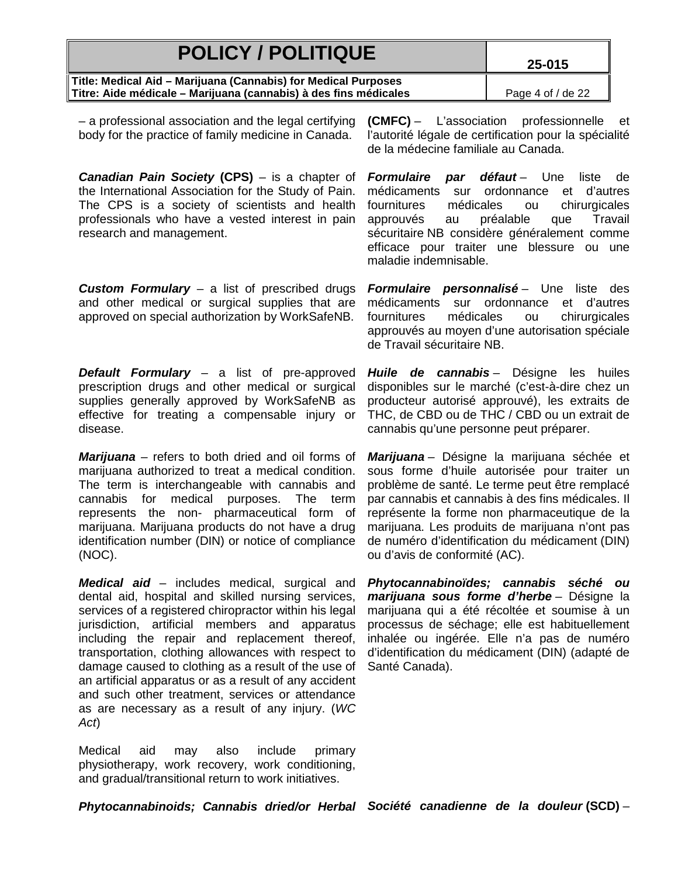| <b>POLICY / POLITIQUE</b>                                                                                                          |                                                                                      | 25-015                                                |    |
|------------------------------------------------------------------------------------------------------------------------------------|--------------------------------------------------------------------------------------|-------------------------------------------------------|----|
| Title: Medical Aid – Marijuana (Cannabis) for Medical Purposes<br>Titre: Aide médicale – Marijuana (cannabis) à des fins médicales |                                                                                      | Page 4 of / de 22                                     |    |
| - a professional association and the legal certifying<br>body for the practice of family medicine in Canada.                       | <b>(CMFC)</b> – L'association professionnelle<br>de la médecine familiale au Canada. | l'autorité légale de certification pour la spécialité | et |

*Canadian Pain Society* **(CPS)** – is a chapter of the International Association for the Study of Pain. The CPS is a society of scientists and health professionals who have a vested interest in pain research and management.

*Custom Formulary* – a list of prescribed drugs and other medical or surgical supplies that are approved on special authorization by WorkSafeNB.

*Default Formulary* – a list of pre-approved prescription drugs and other medical or surgical supplies generally approved by WorkSafeNB as effective for treating a compensable injury or disease.

*Marijuana –* refers to both dried and oil forms of marijuana authorized to treat a medical condition. The term is interchangeable with cannabis and cannabis for medical purposes. The term represents the non- pharmaceutical form of marijuana. Marijuana products do not have a drug identification number (DIN) or notice of compliance (NOC).

*Medical aid* – includes medical, surgical and dental aid, hospital and skilled nursing services, services of a registered chiropractor within his legal jurisdiction, artificial members and apparatus including the repair and replacement thereof, transportation, clothing allowances with respect to damage caused to clothing as a result of the use of an artificial apparatus or as a result of any accident and such other treatment, services or attendance as are necessary as a result of any injury. (*WC Act*)

Medical aid may also include primary physiotherapy, work recovery, work conditioning, and gradual/transitional return to work initiatives.

**Formulaire par défaut** – Une liste de médicaments sur ordonnance et d'autres fournitures médicales ou chirurgicales approuvés au préalable que Travail sécuritaire NB considère généralement comme efficace pour traiter une blessure ou une maladie indemnisable.

*Formulaire personnalisé* – Une liste des médicaments sur ordonnance et d'autres fournitures médicales ou chirurgicales approuvés au moyen d'une autorisation spéciale de Travail sécuritaire NB.

*Huile de cannabis* – Désigne les huiles disponibles sur le marché (c'est-à-dire chez un producteur autorisé approuvé), les extraits de THC, de CBD ou de THC / CBD ou un extrait de cannabis qu'une personne peut préparer.

*Marijuana –* Désigne la marijuana séchée et sous forme d'huile autorisée pour traiter un problème de santé. Le terme peut être remplacé par cannabis et cannabis à des fins médicales. Il représente la forme non pharmaceutique de la marijuana. Les produits de marijuana n'ont pas de numéro d'identification du médicament (DIN) ou d'avis de conformité (AC).

*Phytocannabinoïdes; cannabis séché ou marijuana sous forme d'herbe –* Désigne la marijuana qui a été récoltée et soumise à un processus de séchage; elle est habituellement inhalée ou ingérée. Elle n'a pas de numéro d'identification du médicament (DIN) (adapté de Santé Canada).

*Phytocannabinoids; Cannabis dried/or Herbal Société canadienne de la douleur* **(SCD)** –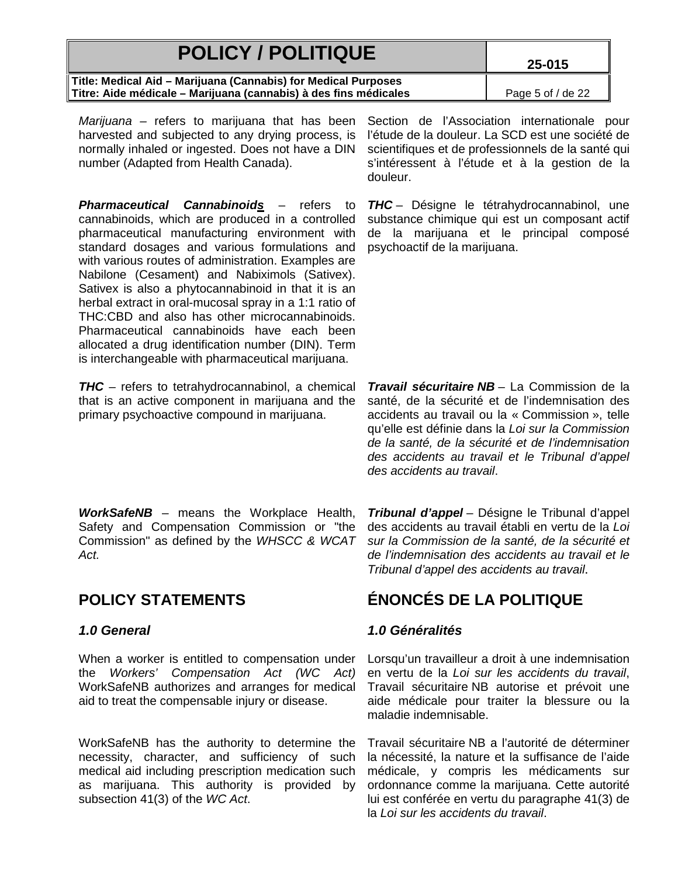| <b>POLICY / POLITIQUE</b>                                                                                                                                                                                                                                                                                                                                                                                                                                                                                                                                                                                                                  |                                            | 25-015                                                                                                                                                                                                                                                                                                           |
|--------------------------------------------------------------------------------------------------------------------------------------------------------------------------------------------------------------------------------------------------------------------------------------------------------------------------------------------------------------------------------------------------------------------------------------------------------------------------------------------------------------------------------------------------------------------------------------------------------------------------------------------|--------------------------------------------|------------------------------------------------------------------------------------------------------------------------------------------------------------------------------------------------------------------------------------------------------------------------------------------------------------------|
| Title: Medical Aid - Marijuana (Cannabis) for Medical Purposes<br>Titre: Aide médicale - Marijuana (cannabis) à des fins médicales                                                                                                                                                                                                                                                                                                                                                                                                                                                                                                         |                                            | Page 5 of / de 22                                                                                                                                                                                                                                                                                                |
| Marijuana – refers to marijuana that has been<br>harvested and subjected to any drying process, is<br>normally inhaled or ingested. Does not have a DIN<br>number (Adapted from Health Canada).                                                                                                                                                                                                                                                                                                                                                                                                                                            | douleur.                                   | Section de l'Association internationale pour<br>l'étude de la douleur. La SCD est une société de<br>scientifiques et de professionnels de la santé qui<br>s'intéressent à l'étude et à la gestion de la                                                                                                          |
| <b>Pharmaceutical Cannabinoids</b> - refers<br>to<br>cannabinoids, which are produced in a controlled<br>pharmaceutical manufacturing environment with<br>standard dosages and various formulations and<br>with various routes of administration. Examples are<br>Nabilone (Cesament) and Nabiximols (Sativex).<br>Sativex is also a phytocannabinoid in that it is an<br>herbal extract in oral-mucosal spray in a 1:1 ratio of<br>THC:CBD and also has other microcannabinoids.<br>Pharmaceutical cannabinoids have each been<br>allocated a drug identification number (DIN). Term<br>is interchangeable with pharmaceutical marijuana. | psychoactif de la marijuana.               | <b>THC</b> - Désigne le tétrahydrocannabinol, une<br>substance chimique qui est un composant actif<br>de la marijuana et le principal composé                                                                                                                                                                    |
| <b>THC</b> – refers to tetrahydrocannabinol, a chemical<br>that is an active component in marijuana and the<br>primary psychoactive compound in marijuana.                                                                                                                                                                                                                                                                                                                                                                                                                                                                                 | des accidents au travail.                  | Travail sécuritaire NB - La Commission de la<br>santé, de la sécurité et de l'indemnisation des<br>accidents au travail ou la « Commission », telle<br>qu'elle est définie dans la Loi sur la Commission<br>de la santé, de la sécurité et de l'indemnisation<br>des accidents au travail et le Tribunal d'appel |
| <b>WorkSafeNB</b> – means the Workplace Health,<br>Safety and Compensation Commission or "the<br>Commission" as defined by the WHSCC & WCAT<br>Act.                                                                                                                                                                                                                                                                                                                                                                                                                                                                                        | Tribunal d'appel des accidents au travail. | Tribunal d'appel - Désigne le Tribunal d'appel<br>des accidents au travail établi en vertu de la Loi<br>sur la Commission de la santé, de la sécurité et<br>de l'indemnisation des accidents au travail et le                                                                                                    |
| <b>POLICY STATEMENTS</b>                                                                                                                                                                                                                                                                                                                                                                                                                                                                                                                                                                                                                   | <b>ÉNONCÉS DE LA POLITIQUE</b>             |                                                                                                                                                                                                                                                                                                                  |
| 1.0 General                                                                                                                                                                                                                                                                                                                                                                                                                                                                                                                                                                                                                                | 1.0 Généralités                            |                                                                                                                                                                                                                                                                                                                  |
| When a worker is entitled to compensation under<br>Workers' Compensation Act (WC Act)<br>the<br>WorkSafeNB authorizes and arranges for medical<br>aid to treat the compensable injury or disease.                                                                                                                                                                                                                                                                                                                                                                                                                                          | maladie indemnisable.                      | Lorsqu'un travailleur a droit à une indemnisation<br>en vertu de la Loi sur les accidents du travail,<br>Travail sécuritaire NB autorise et prévoit une<br>aide médicale pour traiter la blessure ou la                                                                                                          |
| WorkSafeNB has the authority to determine the Travail sécuritaire NB a l'autorité de déterminer<br>necessity, character, and sufficiency of such la nécessité, la nature et la suffisance de l'aide                                                                                                                                                                                                                                                                                                                                                                                                                                        |                                            |                                                                                                                                                                                                                                                                                                                  |

medical aid including prescription medication such as marijuana. This authority is provided by

subsection 41(3) of the *WC Act*.

médicale, y compris les médicaments sur ordonnance comme la marijuana. Cette autorité lui est conférée en vertu du paragraphe 41(3) de la *Loi sur les accidents du travail*.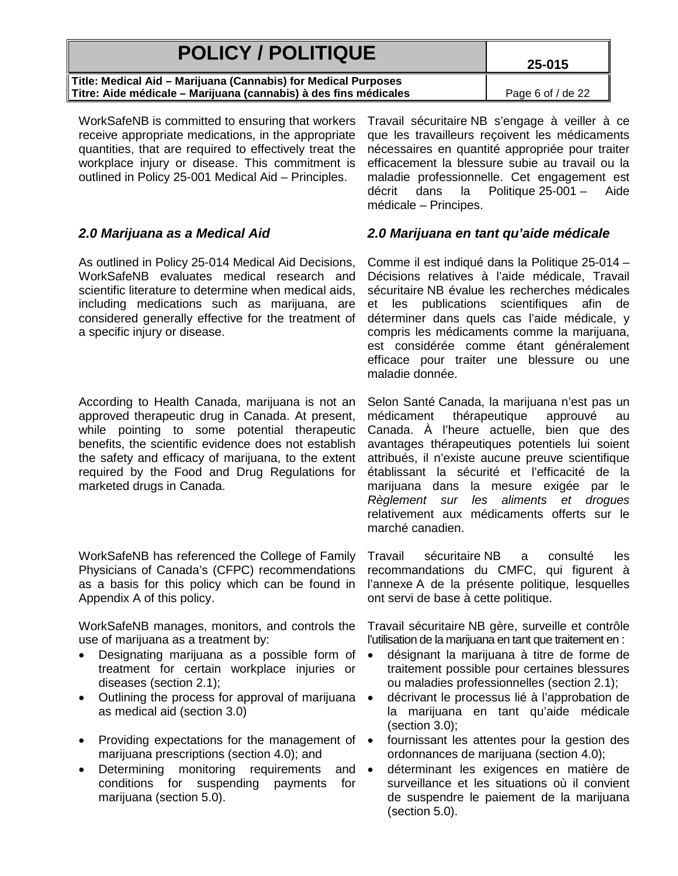| <b>POLICY / POLITIQUE</b> | 25-015 |
|---------------------------|--------|
|---------------------------|--------|

**Title: Medical Aid – Marijuana (Cannabis) for Medical Purposes Titre: Aide médicale – Marijuana (cannabis) à des fins médicales** Page 6 of / de 22

WorkSafeNB is committed to ensuring that workers receive appropriate medications, in the appropriate quantities, that are required to effectively treat the workplace injury or disease. This commitment is outlined in Policy 25-001 Medical Aid – Principles.

As outlined in Policy 25-014 Medical Aid Decisions, WorkSafeNB evaluates medical research and scientific literature to determine when medical aids, including medications such as marijuana, are considered generally effective for the treatment of a specific injury or disease.

According to Health Canada, marijuana is not an approved therapeutic drug in Canada. At present, while pointing to some potential therapeutic benefits, the scientific evidence does not establish the safety and efficacy of marijuana, to the extent required by the Food and Drug Regulations for marketed drugs in Canada.

WorkSafeNB has referenced the College of Family Physicians of Canada's (CFPC) recommendations as a basis for this policy which can be found in Appendix A of this policy.

WorkSafeNB manages, monitors, and controls the use of marijuana as a treatment by:

- Designating marijuana as a possible form of treatment for certain workplace injuries or diseases (section 2.1);
- Outlining the process for approval of marijuana as medical aid (section 3.0)
- Providing expectations for the management of marijuana prescriptions (section 4.0); and
- **Determining monitoring requirements and** conditions for suspending payments for marijuana (section 5.0).

Travail sécuritaire NB s'engage à veiller à ce que les travailleurs reçoivent les médicaments nécessaires en quantité appropriée pour traiter efficacement la blessure subie au travail ou la maladie professionnelle. Cet engagement est décrit dans la Politique 25-001 – Aide médicale – Principes.

### *2.0 Marijuana as a Medical Aid 2.0 Marijuana en tant qu'aide médicale*

Comme il est indiqué dans la Politique 25-014 – Décisions relatives à l'aide médicale, Travail sécuritaire NB évalue les recherches médicales et les publications scientifiques afin de déterminer dans quels cas l'aide médicale, y compris les médicaments comme la marijuana, est considérée comme étant généralement efficace pour traiter une blessure ou une maladie donnée.

Selon Santé Canada, la marijuana n'est pas un médicament thérapeutique approuvé au Canada. À l'heure actuelle, bien que des avantages thérapeutiques potentiels lui soient attribués, il n'existe aucune preuve scientifique établissant la sécurité et l'efficacité de la marijuana dans la mesure exigée par le *Règlement sur les aliments et drogues* relativement aux médicaments offerts sur le marché canadien.

Travail sécuritaire NB a consulté les recommandations du CMFC, qui figurent à l'annexe A de la présente politique, lesquelles ont servi de base à cette politique.

Travail sécuritaire NB gère, surveille et contrôle l'utilisation de la marijuana en tant que traitement en :

- désignant la marijuana à titre de forme de traitement possible pour certaines blessures ou maladies professionnelles (section 2.1);
- décrivant le processus lié à l'approbation de la marijuana en tant qu'aide médicale (section 3.0);
- fournissant les attentes pour la gestion des ordonnances de marijuana (section 4.0);
- déterminant les exigences en matière de surveillance et les situations où il convient de suspendre le paiement de la marijuana (section 5.0).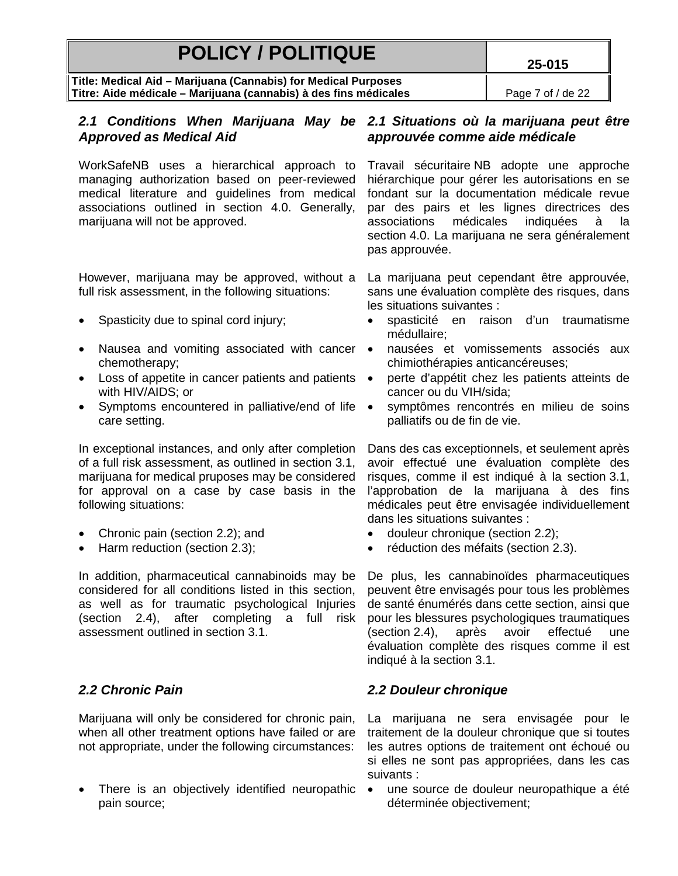| I VEIVI / I VEIII��UE                                            | 25-015            |
|------------------------------------------------------------------|-------------------|
| Title: Medical Aid – Marijuana (Cannabis) for Medical Purposes   |                   |
| Titre: Aide médicale – Marijuana (cannabis) à des fins médicales | Page 7 of / de 22 |

**POLICY / POLITIQUE** 

### *2.1 Conditions When Marijuana May be 2.1 Situations où la marijuana peut être Approved as Medical Aid*

WorkSafeNB uses a hierarchical approach to managing authorization based on peer-reviewed medical literature and guidelines from medical associations outlined in section 4.0. Generally, marijuana will not be approved.

However, marijuana may be approved, without a full risk assessment, in the following situations:

- 
- Nausea and vomiting associated with cancer chemotherapy;
- Loss of appetite in cancer patients and patients with HIV/AIDS; or
- Symptoms encountered in palliative/end of life care setting.

In exceptional instances, and only after completion of a full risk assessment, as outlined in section 3.1, marijuana for medical pruposes may be considered for approval on a case by case basis in the following situations:

- 
- 

In addition, pharmaceutical cannabinoids may be considered for all conditions listed in this section, as well as for traumatic psychological Injuries (section 2.4), after completing a full risk assessment outlined in section 3.1.

Marijuana will only be considered for chronic pain, when all other treatment options have failed or are not appropriate, under the following circumstances:

• There is an objectively identified neuropathic pain source;

# *approuvée comme aide médicale*

Travail sécuritaire NB adopte une approche hiérarchique pour gérer les autorisations en se fondant sur la documentation médicale revue par des pairs et les lignes directrices des associations médicales indiquées à la section 4.0. La marijuana ne sera généralement pas approuvée.

La marijuana peut cependant être approuvée, sans une évaluation complète des risques, dans les situations suivantes :

- Spasticity due to spinal cord injury;  $\bullet$  spasticité en raison d'un traumatisme médullaire;
	- nausées et vomissements associés aux chimiothérapies anticancéreuses;
	- perte d'appétit chez les patients atteints de cancer ou du VIH/sida;
	- symptômes rencontrés en milieu de soins palliatifs ou de fin de vie.

Dans des cas exceptionnels, et seulement après avoir effectué une évaluation complète des risques, comme il est indiqué à la section 3.1, l'approbation de la marijuana à des fins médicales peut être envisagée individuellement dans les situations suivantes :

- Chronic pain (section 2.2); and douleur chronique (section 2.2);
- Harm reduction (section 2.3); réduction des méfaits (section 2.3).

De plus, les cannabinoïdes pharmaceutiques peuvent être envisagés pour tous les problèmes de santé énumérés dans cette section, ainsi que pour les blessures psychologiques traumatiques (section 2.4), après avoir effectué une évaluation complète des risques comme il est indiqué à la section 3.1.

### *2.2 Chronic Pain 2.2 Douleur chronique*

La marijuana ne sera envisagée pour le traitement de la douleur chronique que si toutes les autres options de traitement ont échoué ou si elles ne sont pas appropriées, dans les cas suivants :

• une source de douleur neuropathique a été déterminée objectivement;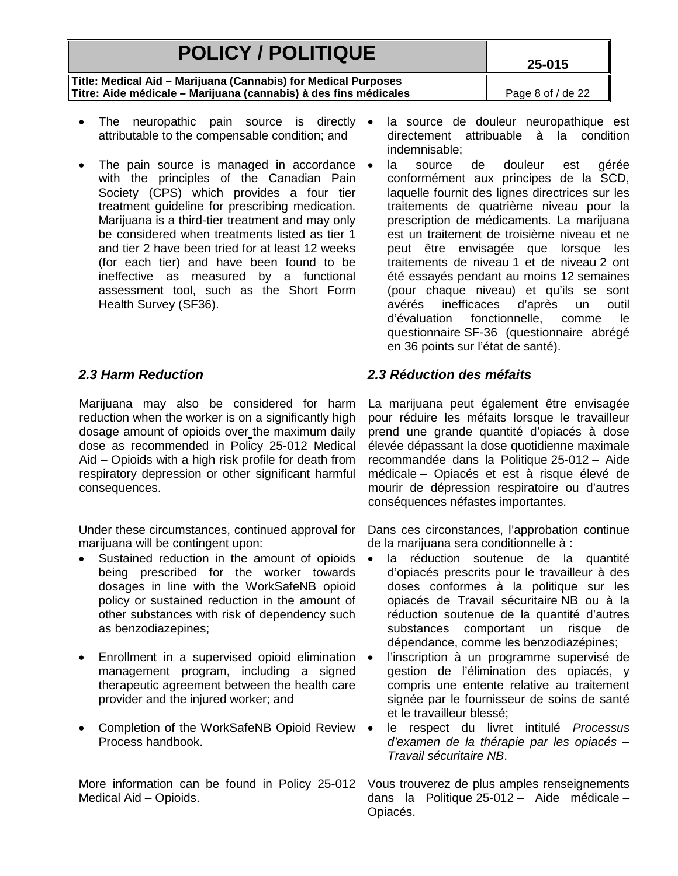| <b>POLICY / POLITIQUE</b>                                        | 25-015            |
|------------------------------------------------------------------|-------------------|
| Title: Medical Aid – Marijuana (Cannabis) for Medical Purposes   |                   |
| Titre: Aide médicale – Marijuana (cannabis) à des fins médicales | Page 8 of / de 22 |
|                                                                  |                   |

- The neuropathic pain source is directly  $\bullet$ attributable to the compensable condition; and
- The pain source is managed in accordance with the principles of the Canadian Pain Society (CPS) which provides a four tier treatment guideline for prescribing medication. Marijuana is a third-tier treatment and may only be considered when treatments listed as tier 1 and tier 2 have been tried for at least 12 weeks (for each tier) and have been found to be ineffective as measured by a functional assessment tool, such as the Short Form Health Survey (SF36).

Marijuana may also be considered for harm reduction when the worker is on a significantly high dosage amount of opioids over the maximum daily dose as recommended in Policy 25-012 Medical Aid – Opioids with a high risk profile for death from respiratory depression or other significant harmful consequences.

Under these circumstances, continued approval for marijuana will be contingent upon:

- Sustained reduction in the amount of opioids being prescribed for the worker towards dosages in line with the WorkSafeNB opioid policy or sustained reduction in the amount of other substances with risk of dependency such as benzodiazepines;
- Enrollment in a supervised opioid elimination management program, including a signed therapeutic agreement between the health care provider and the injured worker; and
- Completion of the WorkSafeNB Opioid Review Process handbook.

More information can be found in Policy 25-012 Vous trouverez de plus amples renseignements Medical Aid – Opioids.

- la source de douleur neuropathique est directement attribuable à la condition indemnisable;
- la source de douleur est gérée conformément aux principes de la SCD, laquelle fournit des lignes directrices sur les traitements de quatrième niveau pour la prescription de médicaments. La marijuana est un traitement de troisième niveau et ne peut être envisagée que lorsque les traitements de niveau 1 et de niveau 2 ont été essayés pendant au moins 12 semaines (pour chaque niveau) et qu'ils se sont avérés inefficaces d'après un outil d'évaluation fonctionnelle, comme le questionnaire SF-36 (questionnaire abrégé en 36 points sur l'état de santé).

### *2.3 Harm Reduction 2.3 Réduction des méfaits*

La marijuana peut également être envisagée pour réduire les méfaits lorsque le travailleur prend une grande quantité d'opiacés à dose élevée dépassant la dose quotidienne maximale recommandée dans la Politique 25-012 – Aide médicale – Opiacés et est à risque élevé de mourir de dépression respiratoire ou d'autres conséquences néfastes importantes.

Dans ces circonstances, l'approbation continue de la marijuana sera conditionnelle à :

- la réduction soutenue de la quantité d'opiacés prescrits pour le travailleur à des doses conformes à la politique sur les opiacés de Travail sécuritaire NB ou à la réduction soutenue de la quantité d'autres substances comportant un risque de dépendance, comme les benzodiazépines;
- l'inscription à un programme supervisé de gestion de l'élimination des opiacés, y compris une entente relative au traitement signée par le fournisseur de soins de santé et le travailleur blessé;
- le respect du livret intitulé *Processus d'examen de la thérapie par les opiacés – Travail sécuritaire NB*.

dans la Politique 25-012 – Aide médicale – Opiacés.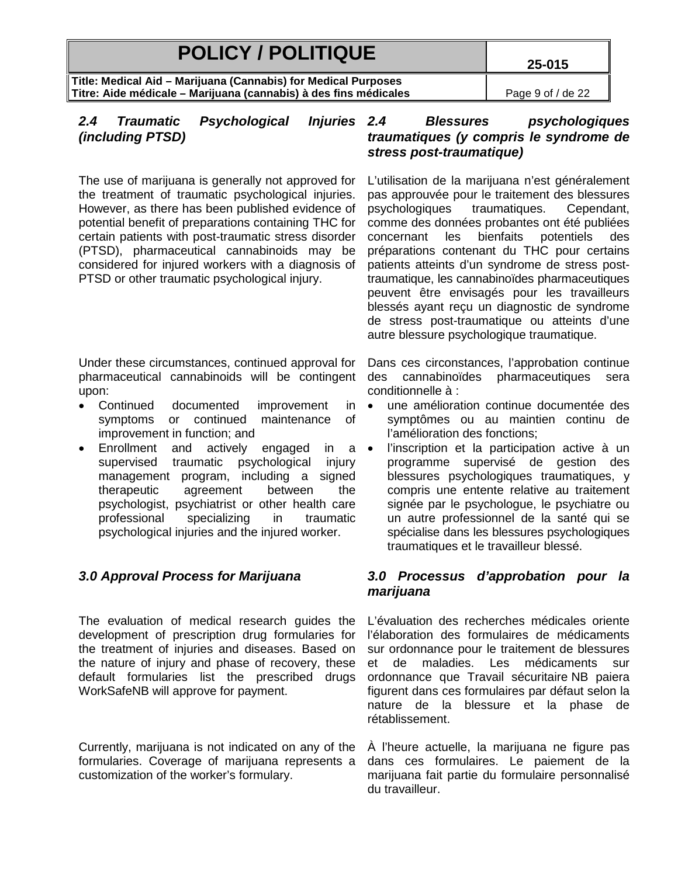**Title: Medical Aid – Marijuana (Cannabis) for Medical Purposes Titre: Aide médicale – Marijuana (cannabis) à des fins médicales** Page 9 of / de 22

# *2.4 Traumatic Psychological Injuries (including PTSD)*

The use of marijuana is generally not approved for the treatment of traumatic psychological injuries. However, as there has been published evidence of potential benefit of preparations containing THC for certain patients with post-traumatic stress disorder (PTSD), pharmaceutical cannabinoids may be considered for injured workers with a diagnosis of PTSD or other traumatic psychological injury.

Under these circumstances, continued approval for pharmaceutical cannabinoids will be contingent upon:

- Continued documented improvement in symptoms or continued maintenance of improvement in function; and
- Enrollment and actively engaged in a •<br>supervised traumatic psychological injury traumatic psychological injury management program, including a signed therapeutic agreement between the psychologist, psychiatrist or other health care professional specializing in traumatic psychological injuries and the injured worker.

The evaluation of medical research guides the development of prescription drug formularies for the treatment of injuries and diseases. Based on the nature of injury and phase of recovery, these default formularies list the prescribed drugs WorkSafeNB will approve for payment.

Currently, marijuana is not indicated on any of the formularies. Coverage of marijuana represents a customization of the worker's formulary.

### *2.4 Blessures psychologiques traumatiques (y compris le syndrome de stress post-traumatique)*

L'utilisation de la marijuana n'est généralement pas approuvée pour le traitement des blessures psychologiques traumatiques. Cependant, comme des données probantes ont été publiées<br>concernant les bienfaits potentiels des concernant les bienfaits potentiels des préparations contenant du THC pour certains patients atteints d'un syndrome de stress posttraumatique, les cannabinoïdes pharmaceutiques peuvent être envisagés pour les travailleurs blessés ayant reçu un diagnostic de syndrome de stress post-traumatique ou atteints d'une autre blessure psychologique traumatique.

Dans ces circonstances, l'approbation continue des cannabinoïdes pharmaceutiques sera conditionnelle à :

- une amélioration continue documentée des symptômes ou au maintien continu de l'amélioration des fonctions;
- l'inscription et la participation active à un programme supervisé de gestion des blessures psychologiques traumatiques, y compris une entente relative au traitement signée par le psychologue, le psychiatre ou un autre professionnel de la santé qui se spécialise dans les blessures psychologiques traumatiques et le travailleur blessé.

### *3.0 Approval Process for Marijuana 3.0 Processus d'approbation pour la marijuana*

L'évaluation des recherches médicales oriente l'élaboration des formulaires de médicaments sur ordonnance pour le traitement de blessures et de maladies. Les médicaments sur ordonnance que Travail sécuritaire NB paiera figurent dans ces formulaires par défaut selon la nature de la blessure et la phase de rétablissement.

À l'heure actuelle, la marijuana ne figure pas dans ces formulaires. Le paiement de la marijuana fait partie du formulaire personnalisé du travailleur.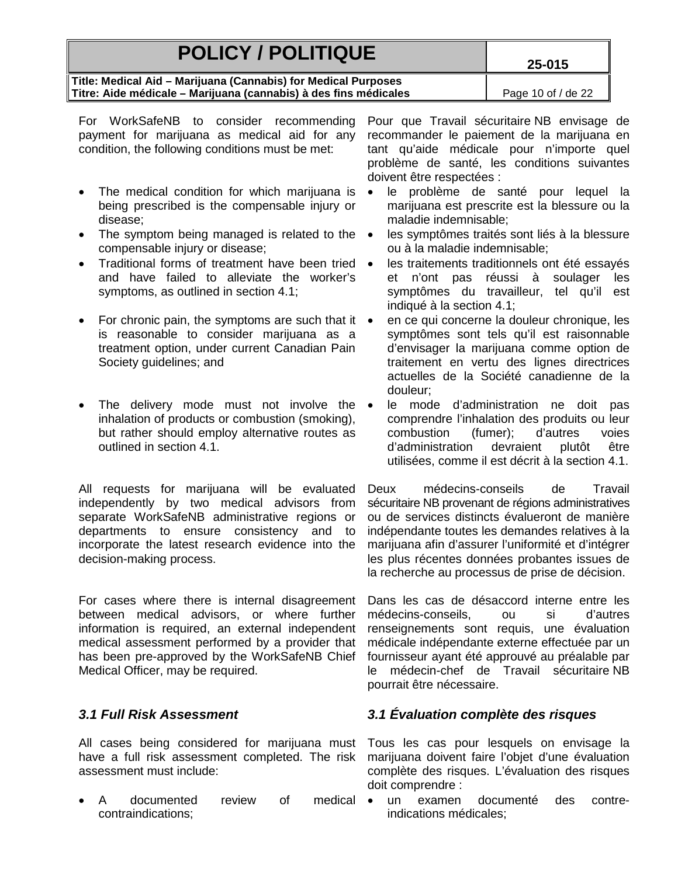| <b>POLICY / POLITIQUE</b>                                                                                                                                                                                                                                                                                                          |                                                                                                                                               | 25-015                                                                                                                                                                                                                                                                                                                               |  |
|------------------------------------------------------------------------------------------------------------------------------------------------------------------------------------------------------------------------------------------------------------------------------------------------------------------------------------|-----------------------------------------------------------------------------------------------------------------------------------------------|--------------------------------------------------------------------------------------------------------------------------------------------------------------------------------------------------------------------------------------------------------------------------------------------------------------------------------------|--|
| Title: Medical Aid - Marijuana (Cannabis) for Medical Purposes<br>Titre: Aide médicale – Marijuana (cannabis) à des fins médicales                                                                                                                                                                                                 |                                                                                                                                               | Page 10 of / de 22                                                                                                                                                                                                                                                                                                                   |  |
| For WorkSafeNB to consider recommending<br>payment for marijuana as medical aid for any<br>condition, the following conditions must be met:                                                                                                                                                                                        | doivent être respectées :                                                                                                                     | Pour que Travail sécuritaire NB envisage de<br>recommander le paiement de la marijuana en<br>tant qu'aide médicale pour n'importe quel<br>problème de santé, les conditions suivantes                                                                                                                                                |  |
| The medical condition for which marijuana is<br>being prescribed is the compensable injury or<br>disease;<br>The symptom being managed is related to the<br>compensable injury or disease;<br>Traditional forms of treatment have been tried<br>and have failed to alleviate the worker's<br>symptoms, as outlined in section 4.1; | $\bullet$<br>maladie indemnisable;<br>$\bullet$<br>ou à la maladie indemnisable;<br>$\bullet$<br>n'ont pas<br>et<br>indiqué à la section 4.1; | le problème de santé pour lequel la<br>marijuana est prescrite est la blessure ou la<br>les symptômes traités sont liés à la blessure<br>les traitements traditionnels ont été essayés<br>réussi à<br>soulager<br>les<br>symptômes du travailleur, tel qu'il<br>est                                                                  |  |
| For chronic pain, the symptoms are such that it<br>is reasonable to consider marijuana as a<br>treatment option, under current Canadian Pain<br>Society guidelines; and                                                                                                                                                            | $\bullet$<br>douleur;                                                                                                                         | en ce qui concerne la douleur chronique, les<br>symptômes sont tels qu'il est raisonnable<br>d'envisager la marijuana comme option de<br>traitement en vertu des lignes directrices<br>actuelles de la Société canadienne de la                                                                                                      |  |
| The delivery mode must not involve the<br>inhalation of products or combustion (smoking),<br>but rather should employ alternative routes as<br>outlined in section 4.1.                                                                                                                                                            | $\bullet$<br>combustion<br>d'administration                                                                                                   | le mode d'administration ne doit pas<br>comprendre l'inhalation des produits ou leur<br>(fumer);<br>d'autres<br>voies<br>devraient<br>plutôt<br>être<br>utilisées, comme il est décrit à la section 4.1.                                                                                                                             |  |
| All requests for marijuana will be evaluated<br>independently by two medical advisors from<br>separate WorkSafeNB administrative regions or<br>departments to ensure consistency and to<br>incorporate the latest research evidence into the<br>decision-making process.                                                           | médecins-conseils<br>Deux                                                                                                                     | Travail<br>de<br>sécuritaire NB provenant de régions administratives<br>ou de services distincts évalueront de manière<br>indépendante toutes les demandes relatives à la<br>marijuana afin d'assurer l'uniformité et d'intégrer<br>les plus récentes données probantes issues de<br>la recherche au processus de prise de décision. |  |
| For cases where there is internal disagreement<br>between medical advisors, or where further<br>information is required, an external independent<br>medical assessment performed by a provider that<br>has been pre-approved by the WorkSafeNB Chief<br>Medical Officer, may be required.                                          | médecins-conseils,<br>le<br>pourrait être nécessaire.                                                                                         | Dans les cas de désaccord interne entre les<br>si<br>d'autres<br>ou<br>renseignements sont requis, une évaluation<br>médicale indépendante externe effectuée par un<br>fournisseur ayant été approuvé au préalable par<br>médecin-chef de Travail sécuritaire NB                                                                     |  |
| <b>3.1 Full Risk Assessment</b>                                                                                                                                                                                                                                                                                                    | 3.1 Évaluation complète des risques                                                                                                           |                                                                                                                                                                                                                                                                                                                                      |  |
| All cases being considered for marijuana must<br>have a full risk assessment completed. The risk<br>assessment must include:                                                                                                                                                                                                       | doit comprendre :                                                                                                                             | Tous les cas pour lesquels on envisage la<br>marijuana doivent faire l'objet d'une évaluation<br>complète des risques. L'évaluation des risques                                                                                                                                                                                      |  |
| documented<br>medical<br>review<br>A<br>οf                                                                                                                                                                                                                                                                                         | un<br>examen                                                                                                                                  | documenté<br>des<br>contre-                                                                                                                                                                                                                                                                                                          |  |

indications médicales;

contraindications;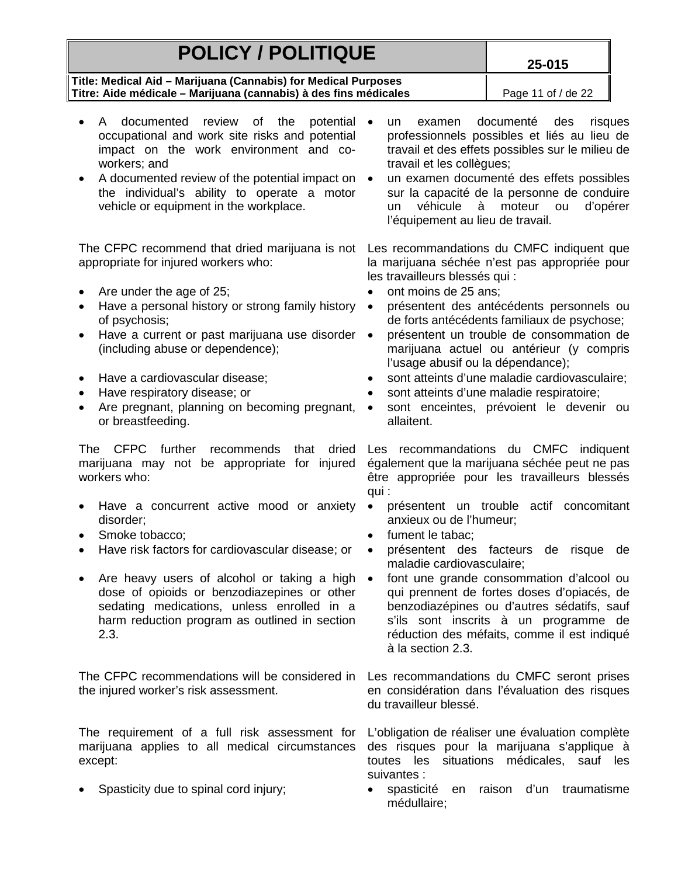| <b>POLICY / POLITIQUE</b>                                                                                                                                                                                                                                                                                                                                                                                                                              |                                                                                                                                                                                         | 25-015                                                                                                                                                                                                                                                                                                                                                                                                                         |  |
|--------------------------------------------------------------------------------------------------------------------------------------------------------------------------------------------------------------------------------------------------------------------------------------------------------------------------------------------------------------------------------------------------------------------------------------------------------|-----------------------------------------------------------------------------------------------------------------------------------------------------------------------------------------|--------------------------------------------------------------------------------------------------------------------------------------------------------------------------------------------------------------------------------------------------------------------------------------------------------------------------------------------------------------------------------------------------------------------------------|--|
| Title: Medical Aid - Marijuana (Cannabis) for Medical Purposes                                                                                                                                                                                                                                                                                                                                                                                         |                                                                                                                                                                                         |                                                                                                                                                                                                                                                                                                                                                                                                                                |  |
| Titre: Aide médicale – Marijuana (cannabis) à des fins médicales                                                                                                                                                                                                                                                                                                                                                                                       |                                                                                                                                                                                         | Page 11 of / de 22                                                                                                                                                                                                                                                                                                                                                                                                             |  |
| documented<br>review<br>A<br>of the<br>potential<br>occupational and work site risks and potential<br>impact on the work environment and co-<br>workers; and<br>A documented review of the potential impact on<br>the individual's ability to operate a motor<br>vehicle or equipment in the workplace.                                                                                                                                                | un<br>examen<br>$\bullet$<br>travail et les collègues;<br>$\bullet$<br>véhicule<br>à<br>un<br>l'équipement au lieu de travail.                                                          | documenté<br>des<br>risques<br>professionnels possibles et liés au lieu de<br>travail et des effets possibles sur le milieu de<br>un examen documenté des effets possibles<br>sur la capacité de la personne de conduire<br>d'opérer<br>moteur<br>ou                                                                                                                                                                           |  |
| The CFPC recommend that dried marijuana is not<br>appropriate for injured workers who:<br>Are under the age of 25;<br>Have a personal history or strong family history<br>of psychosis;<br>Have a current or past marijuana use disorder<br>(including abuse or dependence);<br>Have a cardiovascular disease;<br>Have respiratory disease; or<br>Are pregnant, planning on becoming pregnant,<br>or breastfeeding.                                    | les travailleurs blessés qui :<br>ont moins de 25 ans;<br>$\bullet$<br>$\bullet$<br>$\bullet$<br>l'usage abusif ou la dépendance);<br>$\bullet$<br>$\bullet$<br>$\bullet$<br>allaitent. | Les recommandations du CMFC indiquent que<br>la marijuana séchée n'est pas appropriée pour<br>présentent des antécédents personnels ou<br>de forts antécédents familiaux de psychose;<br>présentent un trouble de consommation de<br>marijuana actuel ou antérieur (y compris<br>sont atteints d'une maladie cardiovasculaire;<br>sont atteints d'une maladie respiratoire;<br>sont enceintes, prévoient le devenir ou         |  |
| CFPC further<br>dried<br>The<br>recommends<br>that<br>marijuana may not be appropriate for injured<br>workers who:<br>Have a concurrent active mood or anxiety<br>disorder;<br>Smoke tobacco;<br>Have risk factors for cardiovascular disease; or<br>Are heavy users of alcohol or taking a high<br>dose of opioids or benzodiazepines or other<br>sedating medications, unless enrolled in a<br>harm reduction program as outlined in section<br>2.3. | Les recommandations du CMFC<br>qui :<br>$\bullet$<br>anxieux ou de l'humeur;<br>fument le tabac;<br>maladie cardiovasculaire;<br>$\bullet$<br>à la section 2.3.                         | indiquent<br>également que la marijuana séchée peut ne pas<br>être appropriée pour les travailleurs blessés<br>présentent un trouble actif concomitant<br>présentent des facteurs de risque de<br>font une grande consommation d'alcool ou<br>qui prennent de fortes doses d'opiacés, de<br>benzodiazépines ou d'autres sédatifs, sauf<br>s'ils sont inscrits à un programme de<br>réduction des méfaits, comme il est indiqué |  |
| The CFPC recommendations will be considered in<br>the injured worker's risk assessment.                                                                                                                                                                                                                                                                                                                                                                | du travailleur blessé.                                                                                                                                                                  | Les recommandations du CMFC seront prises<br>en considération dans l'évaluation des risques                                                                                                                                                                                                                                                                                                                                    |  |
| The requirement of a full risk assessment for<br>marijuana applies to all medical circumstances<br>except:<br>Spasticity due to spinal cord injury;                                                                                                                                                                                                                                                                                                    | toutes les<br>suivantes :<br>spasticité                                                                                                                                                 | L'obligation de réaliser une évaluation complète<br>des risques pour la marijuana s'applique à<br>situations médicales, sauf les<br>raison<br>d'un traumatisme                                                                                                                                                                                                                                                                 |  |
|                                                                                                                                                                                                                                                                                                                                                                                                                                                        | en.<br>médullaire;                                                                                                                                                                      |                                                                                                                                                                                                                                                                                                                                                                                                                                |  |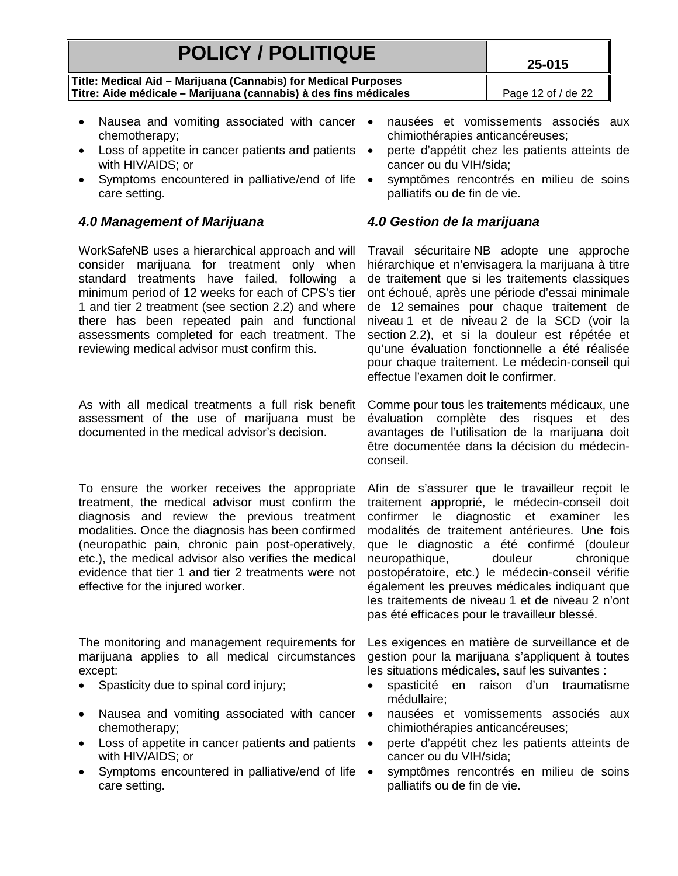| <b>POLICY / POLITIQUE</b>                                                                                                                  |                                                            | 25-015                                                                                |  |
|--------------------------------------------------------------------------------------------------------------------------------------------|------------------------------------------------------------|---------------------------------------------------------------------------------------|--|
| Title: Medical Aid - Marijuana (Cannabis) for Medical Purposes                                                                             |                                                            |                                                                                       |  |
| Titre: Aide médicale - Marijuana (cannabis) à des fins médicales                                                                           |                                                            | Page 12 of / de 22                                                                    |  |
| Nausea and vomiting associated with cancer •<br>chemotherapy;<br>• Loss of appetite in cancer patients and patients •<br>with HIV/AIDS; or | chimiothérapies anticancéreuses;<br>cancer ou du VIH/sida; | nausées et vomissements associés aux<br>perte d'appétit chez les patients atteints de |  |
| • Symptoms encountered in palliative/end of life •                                                                                         |                                                            | symptômes rencontrés en milieu de soins                                               |  |

### *4.0 Management of Marijuana 4.0 Gestion de la marijuana*

care setting.

WorkSafeNB uses a hierarchical approach and will consider marijuana for treatment only when standard treatments have failed, following a minimum period of 12 weeks for each of CPS's tier 1 and tier 2 treatment (see section 2.2) and where there has been repeated pain and functional assessments completed for each treatment. The reviewing medical advisor must confirm this.

As with all medical treatments a full risk benefit assessment of the use of marijuana must be documented in the medical advisor's decision.

To ensure the worker receives the appropriate treatment, the medical advisor must confirm the diagnosis and review the previous treatment modalities. Once the diagnosis has been confirmed (neuropathic pain, chronic pain post-operatively, etc.), the medical advisor also verifies the medical evidence that tier 1 and tier 2 treatments were not effective for the injured worker.

The monitoring and management requirements for marijuana applies to all medical circumstances except:

- 
- Nausea and vomiting associated with cancer chemotherapy;
- Loss of appetite in cancer patients and patients with HIV/AIDS; or
- Symptoms encountered in palliative/end of life care setting.
- 
- 
- symptomes rencontrés en milieu de soins palliatifs ou de fin de vie.

Travail sécuritaire NB adopte une approche hiérarchique et n'envisagera la marijuana à titre de traitement que si les traitements classiques ont échoué, après une période d'essai minimale de 12 semaines pour chaque traitement de niveau 1 et de niveau 2 de la SCD (voir la section 2.2), et si la douleur est répétée et qu'une évaluation fonctionnelle a été réalisée pour chaque traitement. Le médecin-conseil qui effectue l'examen doit le confirmer.

Comme pour tous les traitements médicaux, une évaluation complète des risques et des avantages de l'utilisation de la marijuana doit être documentée dans la décision du médecinconseil.

Afin de s'assurer que le travailleur reçoit le traitement approprié, le médecin-conseil doit confirmer le diagnostic et examiner les modalités de traitement antérieures. Une fois que le diagnostic a été confirmé (douleur neuropathique, douleur chronique postopératoire, etc.) le médecin-conseil vérifie également les preuves médicales indiquant que les traitements de niveau 1 et de niveau 2 n'ont pas été efficaces pour le travailleur blessé.

Les exigences en matière de surveillance et de gestion pour la marijuana s'appliquent à toutes les situations médicales, sauf les suivantes :

- Spasticity due to spinal cord injury; • spasticité en raison d'un traumatisme médullaire;
	- nausées et vomissements associés aux chimiothérapies anticancéreuses;
	- perte d'appétit chez les patients atteints de cancer ou du VIH/sida;
	- symptômes rencontrés en milieu de soins palliatifs ou de fin de vie.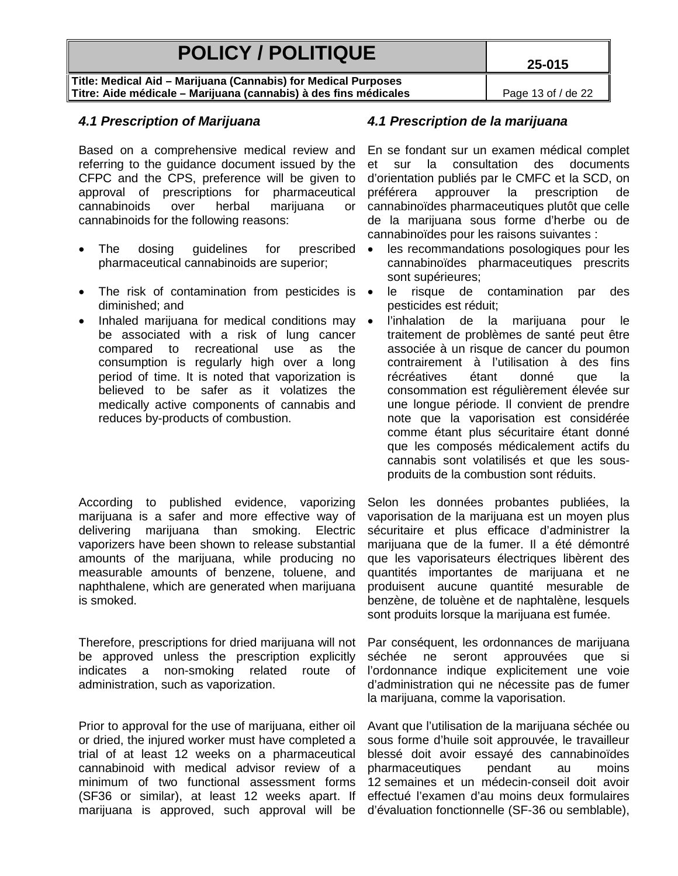**Title: Medical Aid – Marijuana (Cannabis) for Medical Purposes Titre: Aide médicale – Marijuana (cannabis) à des fins médicales** Page 13 of / de 22

Based on a comprehensive medical review and referring to the guidance document issued by the CFPC and the CPS, preference will be given to approval of prescriptions for pharmaceutical cannabinoids over herbal marijuana or cannabinoids for the following reasons:

- The dosing guidelines for prescribed pharmaceutical cannabinoids are superior;
- The risk of contamination from pesticides is  $\bullet$ diminished; and
- Inhaled marijuana for medical conditions may  $\bullet$ be associated with a risk of lung cancer compared to recreational use as the consumption is regularly high over a long period of time. It is noted that vaporization is believed to be safer as it volatizes the medically active components of cannabis and reduces by-products of combustion.

According to published evidence, vaporizing marijuana is a safer and more effective way of delivering marijuana than smoking. Electric vaporizers have been shown to release substantial amounts of the marijuana, while producing no measurable amounts of benzene, toluene, and naphthalene, which are generated when marijuana is smoked.

Therefore, prescriptions for dried marijuana will not be approved unless the prescription explicitly indicates a non-smoking related route of administration, such as vaporization.

Prior to approval for the use of marijuana, either oil or dried, the injured worker must have completed a trial of at least 12 weeks on a pharmaceutical cannabinoid with medical advisor review of a minimum of two functional assessment forms (SF36 or similar), at least 12 weeks apart. If marijuana is approved, such approval will be d'évaluation fonctionnelle (SF-36 ou semblable),

### *4.1 Prescription of Marijuana 4.1 Prescription de la marijuana*

En se fondant sur un examen médical complet et sur la consultation des documents d'orientation publiés par le CMFC et la SCD, on préférera approuver la prescription de cannabinoïdes pharmaceutiques plutôt que celle de la marijuana sous forme d'herbe ou de cannabinoïdes pour les raisons suivantes :

- les recommandations posologiques pour les cannabinoïdes pharmaceutiques prescrits sont supérieures;
	- le risque de contamination par des pesticides est réduit;
	- l'inhalation de la marijuana pour le traitement de problèmes de santé peut être associée à un risque de cancer du poumon contrairement à l'utilisation à des fins récréatives étant donné que la consommation est régulièrement élevée sur une longue période. Il convient de prendre note que la vaporisation est considérée comme étant plus sécuritaire étant donné que les composés médicalement actifs du cannabis sont volatilisés et que les sousproduits de la combustion sont réduits.

Selon les données probantes publiées, la vaporisation de la marijuana est un moyen plus sécuritaire et plus efficace d'administrer la marijuana que de la fumer. Il a été démontré que les vaporisateurs électriques libèrent des quantités importantes de marijuana et ne produisent aucune quantité mesurable de benzène, de toluène et de naphtalène, lesquels sont produits lorsque la marijuana est fumée.

Par conséquent, les ordonnances de marijuana séchée ne seront approuvées que si l'ordonnance indique explicitement une voie d'administration qui ne nécessite pas de fumer la marijuana, comme la vaporisation.

Avant que l'utilisation de la marijuana séchée ou sous forme d'huile soit approuvée, le travailleur blessé doit avoir essayé des cannabinoïdes pharmaceutiques pendant au moins 12 semaines et un médecin-conseil doit avoir effectué l'examen d'au moins deux formulaires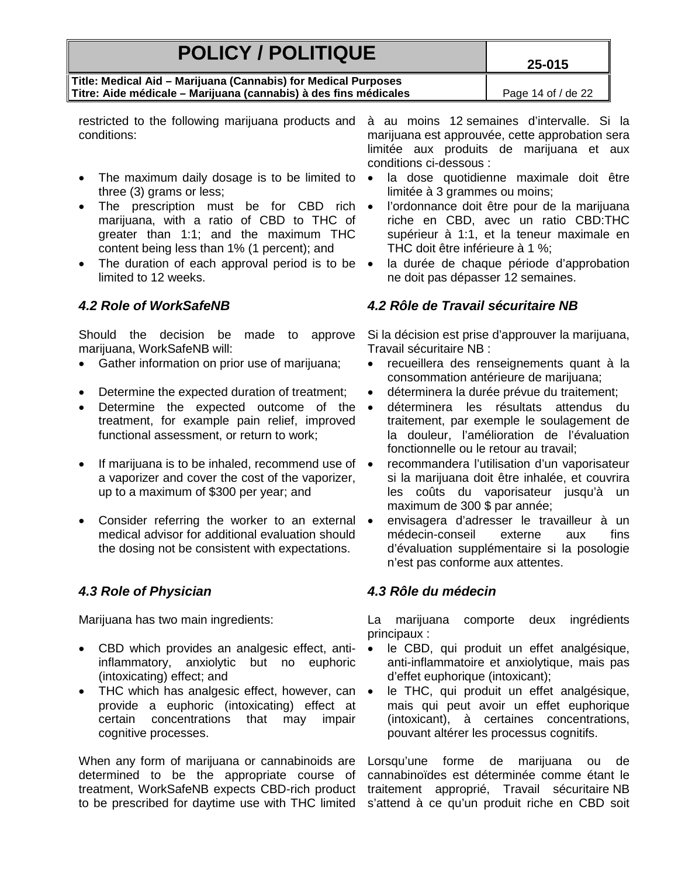| <b>POLICY / POLITIQUE</b>                                        | 25-015             |
|------------------------------------------------------------------|--------------------|
| Title: Medical Aid – Marijuana (Cannabis) for Medical Purposes   |                    |
| Titre: Aide médicale – Marijuana (cannabis) à des fins médicales | Page 14 of / de 22 |

restricted to the following marijuana products and conditions:

- The maximum daily dosage is to be limited to three (3) grams or less;
- The prescription must be for CBD rich marijuana, with a ratio of CBD to THC of greater than 1:1; and the maximum THC content being less than 1% (1 percent); and
- The duration of each approval period is to be limited to 12 weeks.

Should the decision be made to marijuana, WorkSafeNB will:

- Gather information on prior use of marijuana; recueillera des renseignements quant à la
- Determine the expected duration of treatment; déterminera la durée prévue du traitement;
- Determine the expected outcome of the treatment, for example pain relief, improved functional assessment, or return to work;
- If marijuana is to be inhaled, recommend use of a vaporizer and cover the cost of the vaporizer, up to a maximum of \$300 per year; and
- Consider referring the worker to an external medical advisor for additional evaluation should the dosing not be consistent with expectations.

### *4.3 Role of Physician 4.3 Rôle du médecin*

- CBD which provides an analgesic effect, antiinflammatory, anxiolytic but no euphoric (intoxicating) effect; and
- THC which has analgesic effect, however, can provide a euphoric (intoxicating) effect at certain concentrations that may impair cognitive processes.

When any form of marijuana or cannabinoids are determined to be the appropriate course of treatment, WorkSafeNB expects CBD-rich product to be prescribed for daytime use with THC limited s'attend à ce qu'un produit riche en CBD soit

à au moins 12 semaines d'intervalle. Si la marijuana est approuvée, cette approbation sera limitée aux produits de marijuana et aux conditions ci-dessous :

- la dose quotidienne maximale doit être limitée à 3 grammes ou moins;
- l'ordonnance doit être pour de la marijuana riche en CBD, avec un ratio CBD:THC supérieur à 1:1, et la teneur maximale en THC doit être inférieure à 1 %;
- la durée de chaque période d'approbation ne doit pas dépasser 12 semaines.

### *4.2 Role of WorkSafeNB 4.2 Rôle de Travail sécuritaire NB*

approve Si la décision est prise d'approuver la marijuana, Travail sécuritaire NB :

- consommation antérieure de marijuana;
- 
- déterminera les résultats attendus du traitement, par exemple le soulagement de la douleur, l'amélioration de l'évaluation fonctionnelle ou le retour au travail;
- recommandera l'utilisation d'un vaporisateur si la marijuana doit être inhalée, et couvrira les coûts du vaporisateur jusqu'à un maximum de 300 \$ par année;
- envisagera d'adresser le travailleur à un médecin-conseil externe aux fins d'évaluation supplémentaire si la posologie n'est pas conforme aux attentes.

Marijuana has two main ingredients: La marijuana comporte deux ingrédients principaux :

- le CBD, qui produit un effet analgésique, anti-inflammatoire et anxiolytique, mais pas d'effet euphorique (intoxicant);
- le THC, qui produit un effet analgésique, mais qui peut avoir un effet euphorique (intoxicant), à certaines concentrations, pouvant altérer les processus cognitifs.

Lorsqu'une forme de marijuana ou de cannabinoïdes est déterminée comme étant le traitement approprié, Travail sécuritaire NB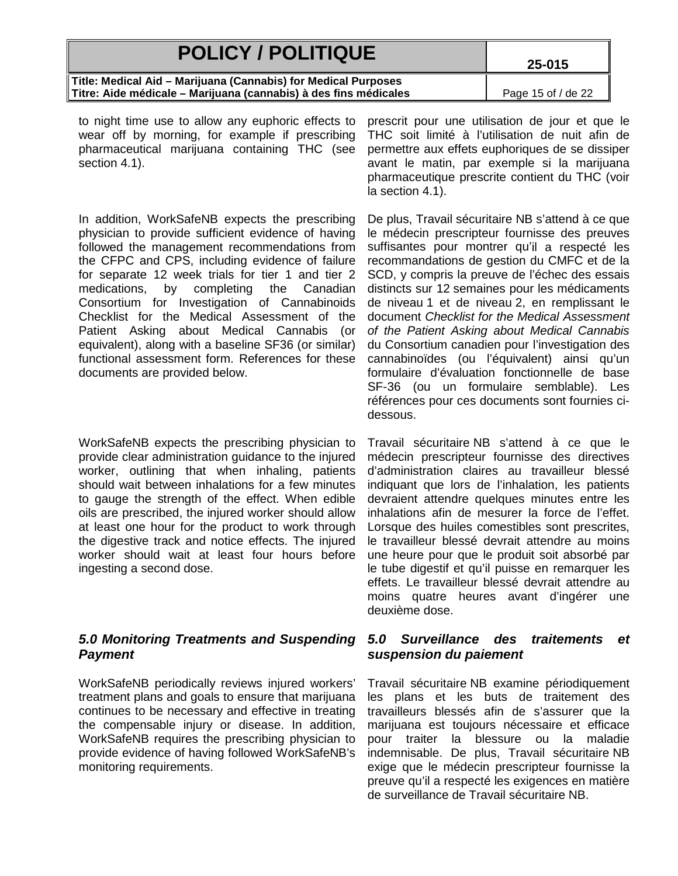| <b>POLICY / POLITIQUE</b>                                                                                                                                              |                  | 25-015                                                                                                                                                                                                                                                 |  |
|------------------------------------------------------------------------------------------------------------------------------------------------------------------------|------------------|--------------------------------------------------------------------------------------------------------------------------------------------------------------------------------------------------------------------------------------------------------|--|
| Title: Medical Aid - Marijuana (Cannabis) for Medical Purposes                                                                                                         |                  |                                                                                                                                                                                                                                                        |  |
| Titre: Aide médicale - Marijuana (cannabis) à des fins médicales                                                                                                       |                  | Page 15 of / de 22                                                                                                                                                                                                                                     |  |
| to night time use to allow any euphoric effects to<br>wear off by morning, for example if prescribing<br>pharmaceutical marijuana containing THC (see<br>section 4.1). | la section 4.1). | prescrit pour une utilisation de jour et que le<br>THC soit limité à l'utilisation de nuit afin de<br>permettre aux effets euphoriques de se dissiper<br>avant le matin, par exemple si la marijuana<br>pharmaceutique prescrite contient du THC (voir |  |

In addition, WorkSafeNB expects the prescribing physician to provide sufficient evidence of having followed the management recommendations from the CFPC and CPS, including evidence of failure for separate 12 week trials for tier 1 and tier 2 medications, by completing the Canadian Consortium for Investigation of Cannabinoids Checklist for the Medical Assessment of the Patient Asking about Medical Cannabis (or equivalent), along with a baseline SF36 (or similar) functional assessment form. References for these documents are provided below.

WorkSafeNB expects the prescribing physician to provide clear administration guidance to the injured worker, outlining that when inhaling, patients should wait between inhalations for a few minutes to gauge the strength of the effect. When edible oils are prescribed, the injured worker should allow at least one hour for the product to work through the digestive track and notice effects. The injured worker should wait at least four hours before ingesting a second dose.

### *5.0 Monitoring Treatments and Suspending Payment*

WorkSafeNB periodically reviews injured workers' treatment plans and goals to ensure that marijuana continues to be necessary and effective in treating the compensable injury or disease. In addition, WorkSafeNB requires the prescribing physician to provide evidence of having followed WorkSafeNB's monitoring requirements.

De plus, Travail sécuritaire NB s'attend à ce que le médecin prescripteur fournisse des preuves suffisantes pour montrer qu'il a respecté les recommandations de gestion du CMFC et de la SCD, y compris la preuve de l'échec des essais distincts sur 12 semaines pour les médicaments de niveau 1 et de niveau 2, en remplissant le document *Checklist for the Medical Assessment of the Patient Asking about Medical Cannabis* du Consortium canadien pour l'investigation des cannabinoïdes (ou l'équivalent) ainsi qu'un formulaire d'évaluation fonctionnelle de base SF-36 (ou un formulaire semblable). Les références pour ces documents sont fournies cidessous.

Travail sécuritaire NB s'attend à ce que le médecin prescripteur fournisse des directives d'administration claires au travailleur blessé indiquant que lors de l'inhalation, les patients devraient attendre quelques minutes entre les inhalations afin de mesurer la force de l'effet. Lorsque des huiles comestibles sont prescrites, le travailleur blessé devrait attendre au moins une heure pour que le produit soit absorbé par le tube digestif et qu'il puisse en remarquer les effets. Le travailleur blessé devrait attendre au moins quatre heures avant d'ingérer une deuxième dose.

### *5.0 Surveillance des traitements et suspension du paiement*

Travail sécuritaire NB examine périodiquement les plans et les buts de traitement des travailleurs blessés afin de s'assurer que la marijuana est toujours nécessaire et efficace pour traiter la blessure ou la maladie indemnisable. De plus, Travail sécuritaire NB exige que le médecin prescripteur fournisse la preuve qu'il a respecté les exigences en matière de surveillance de Travail sécuritaire NB.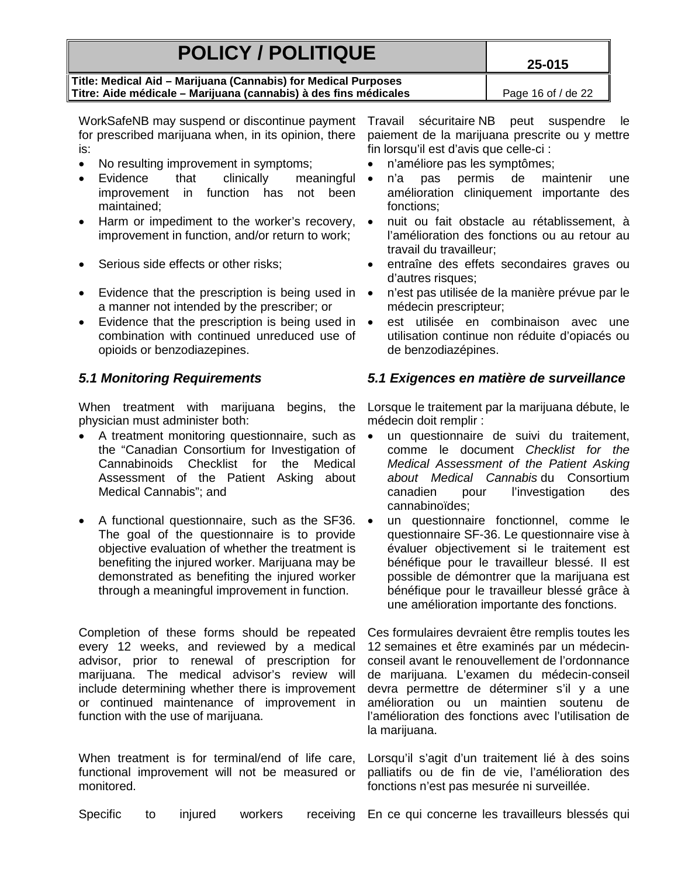| <b>POLICY / POLITIQUE</b>                                        | 25-015             |
|------------------------------------------------------------------|--------------------|
| Title: Medical Aid – Marijuana (Cannabis) for Medical Purposes   |                    |
| Titre: Aide médicale – Marijuana (cannabis) à des fins médicales | Page 16 of / de 22 |
|                                                                  |                    |

WorkSafeNB may suspend or discontinue payment for prescribed marijuana when, in its opinion, there is:

- No resulting improvement in symptoms; • n'améliore pas les symptômes;
- Evidence that clinically meaningful improvement in function has not been maintained;
- Harm or impediment to the worker's recovery, improvement in function, and/or return to work;
- 
- Evidence that the prescription is being used in a manner not intended by the prescriber; or
- Evidence that the prescription is being used in combination with continued unreduced use of opioids or benzodiazepines.

When treatment with marijuana begins, the physician must administer both:

- A treatment monitoring questionnaire, such as the "Canadian Consortium for Investigation of Cannabinoids Checklist for the Medical Assessment of the Patient Asking about Medical Cannabis"; and
- A functional questionnaire, such as the SF36. The goal of the questionnaire is to provide objective evaluation of whether the treatment is benefiting the injured worker. Marijuana may be demonstrated as benefiting the injured worker through a meaningful improvement in function.

Completion of these forms should be repeated every 12 weeks, and reviewed by a medical advisor, prior to renewal of prescription for marijuana. The medical advisor's review will include determining whether there is improvement or continued maintenance of improvement in function with the use of marijuana.

When treatment is for terminal/end of life care, functional improvement will not be measured or monitored.

Travail sécuritaire NB peut suspendre le paiement de la marijuana prescrite ou y mettre fin lorsqu'il est d'avis que celle-ci :

- 
- n'a pas permis de maintenir une amélioration cliniquement importante des fonctions;
- nuit ou fait obstacle au rétablissement, à l'amélioration des fonctions ou au retour au travail du travailleur;
- Serious side effects or other risks; • entraîne des effets secondaires graves ou d'autres risques;
	- n'est pas utilisée de la manière prévue par le médecin prescripteur;
	- est utilisée en combinaison avec une utilisation continue non réduite d'opiacés ou de benzodiazépines.

### *5.1 Monitoring Requirements 5.1 Exigences en matière de surveillance*

Lorsque le traitement par la marijuana débute, le médecin doit remplir :

- un questionnaire de suivi du traitement, comme le document *Checklist for the Medical Assessment of the Patient Asking about Medical Cannabis* du Consortium canadien pour l'investigation des cannabinoïdes;
- un questionnaire fonctionnel, comme le questionnaire SF-36. Le questionnaire vise à évaluer objectivement si le traitement est bénéfique pour le travailleur blessé. Il est possible de démontrer que la marijuana est bénéfique pour le travailleur blessé grâce à une amélioration importante des fonctions.

Ces formulaires devraient être remplis toutes les 12 semaines et être examinés par un médecinconseil avant le renouvellement de l'ordonnance de marijuana. L'examen du médecin-conseil devra permettre de déterminer s'il y a une amélioration ou un maintien soutenu de l'amélioration des fonctions avec l'utilisation de la marijuana.

Lorsqu'il s'agit d'un traitement lié à des soins palliatifs ou de fin de vie, l'amélioration des fonctions n'est pas mesurée ni surveillée.

Specific to injured workers receiving En ce qui concerne les travailleurs blessés qui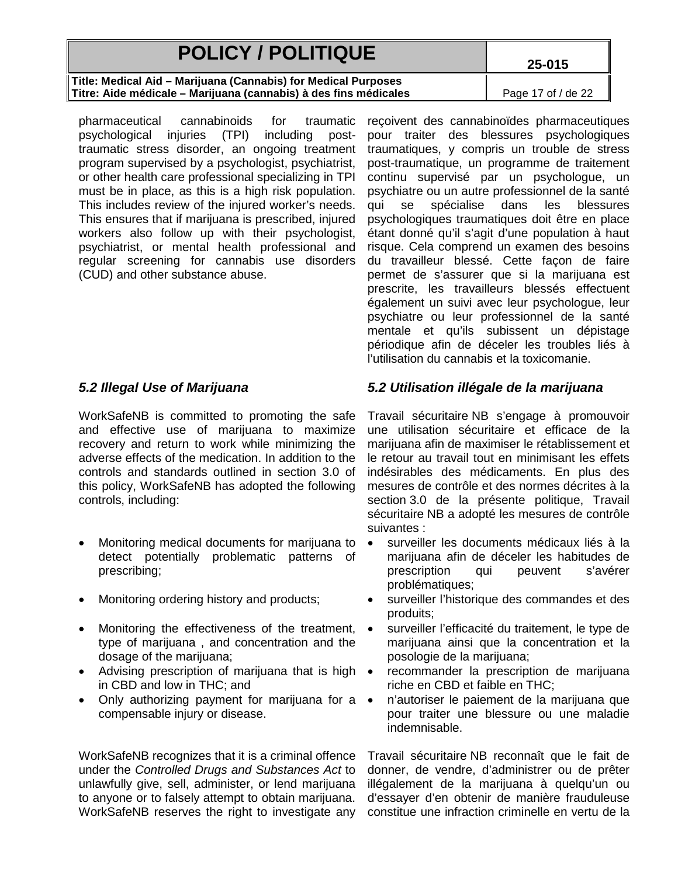**Title: Medical Aid – Marijuana (Cannabis) for Medical Purposes Titre: Aide médicale – Marijuana (cannabis) à des fins médicales** Page 17 of / de 22

pharmaceutical cannabinoids for traumatic psychological injuries (TPI) including posttraumatic stress disorder, an ongoing treatment program supervised by a psychologist, psychiatrist, or other health care professional specializing in TPI must be in place, as this is a high risk population. This includes review of the injured worker's needs. This ensures that if marijuana is prescribed, injured workers also follow up with their psychologist, psychiatrist, or mental health professional and regular screening for cannabis use disorders

reçoivent des cannabinoïdes pharmaceutiques pour traiter des blessures psychologiques traumatiques, y compris un trouble de stress post-traumatique, un programme de traitement continu supervisé par un psychologue, un psychiatre ou un autre professionnel de la santé qui se spécialise dans les blessures psychologiques traumatiques doit être en place étant donné qu'il s'agit d'une population à haut risque. Cela comprend un examen des besoins du travailleur blessé. Cette façon de faire permet de s'assurer que si la marijuana est prescrite, les travailleurs blessés effectuent également un suivi avec leur psychologue, leur psychiatre ou leur professionnel de la santé mentale et qu'ils subissent un dépistage périodique afin de déceler les troubles liés à l'utilisation du cannabis et la toxicomanie.

(CUD) and other substance abuse.

WorkSafeNB is committed to promoting the safe and effective use of marijuana to maximize recovery and return to work while minimizing the adverse effects of the medication. In addition to the controls and standards outlined in section 3.0 of this policy, WorkSafeNB has adopted the following controls, including:

- Monitoring medical documents for marijuana to detect potentially problematic patterns of prescribing;
- 
- Monitoring the effectiveness of the treatment, type of marijuana , and concentration and the dosage of the marijuana;
- Advising prescription of marijuana that is high in CBD and low in THC; and
- Only authorizing payment for marijuana for a compensable injury or disease.

WorkSafeNB recognizes that it is a criminal offence under the *Controlled Drugs and Substances Act* to unlawfully give, sell, administer, or lend marijuana to anyone or to falsely attempt to obtain marijuana. WorkSafeNB reserves the right to investigate any

### *5.2 Illegal Use of Marijuana 5.2 Utilisation illégale de la marijuana*

Travail sécuritaire NB s'engage à promouvoir une utilisation sécuritaire et efficace de la marijuana afin de maximiser le rétablissement et le retour au travail tout en minimisant les effets indésirables des médicaments. En plus des mesures de contrôle et des normes décrites à la section 3.0 de la présente politique. Travail sécuritaire NB a adopté les mesures de contrôle suivantes :

- surveiller les documents médicaux liés à la marijuana afin de déceler les habitudes de prescription qui peuvent s'avérer problématiques;
- Monitoring ordering history and products; • surveiller l'historique des commandes et des produits;
	- surveiller l'efficacité du traitement, le type de marijuana ainsi que la concentration et la posologie de la marijuana;
	- recommander la prescription de marijuana riche en CBD et faible en THC;
	- n'autoriser le paiement de la marijuana que pour traiter une blessure ou une maladie indemnisable.

Travail sécuritaire NB reconnaît que le fait de donner, de vendre, d'administrer ou de prêter illégalement de la marijuana à quelqu'un ou d'essayer d'en obtenir de manière frauduleuse constitue une infraction criminelle en vertu de la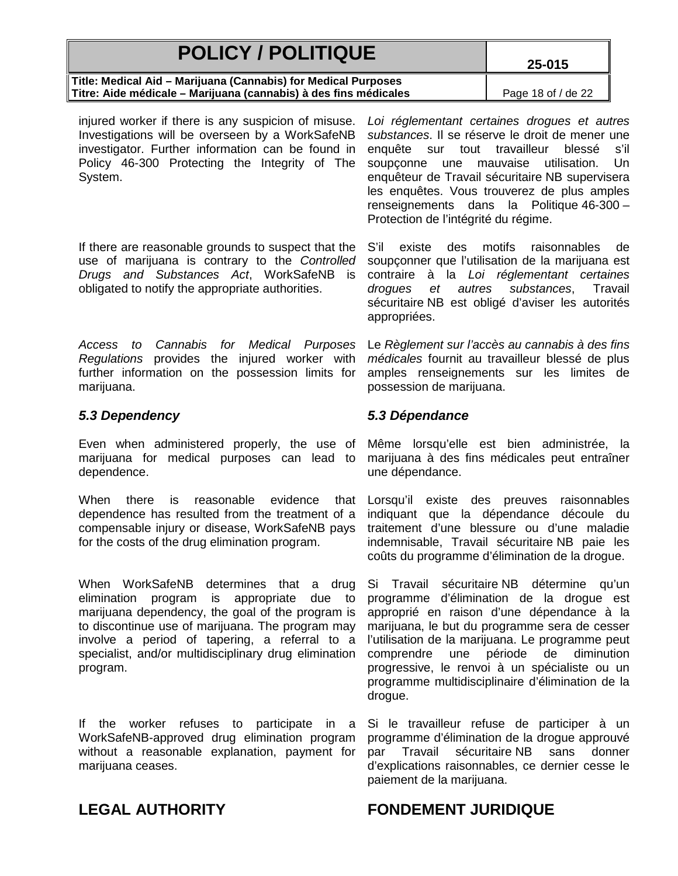| <b>POLICY / POLITIQUE</b> | 25-015 |
|---------------------------|--------|
|---------------------------|--------|

| Title: Medical Aid - Marijuana (Cannabis) for Medical Purposes   |                    |
|------------------------------------------------------------------|--------------------|
| Titre: Aide médicale – Marijuana (cannabis) à des fins médicales | Page 18 of / de 22 |

injured worker if there is any suspicion of misuse. Investigations will be overseen by a WorkSafeNB investigator. Further information can be found in Policy 46-300 Protecting the Integrity of The System.

If there are reasonable grounds to suspect that the use of marijuana is contrary to the *Controlled Drugs and Substances Act*, WorkSafeNB is obligated to notify the appropriate authorities.

*Access to Cannabis for Medical Purposes Regulations* provides the injured worker with further information on the possession limits for marijuana.

### *5.3 Dependency 5.3 Dépendance*

Even when administered properly, the use of marijuana for medical purposes can lead to dependence.

When there is reasonable evidence that dependence has resulted from the treatment of a compensable injury or disease, WorkSafeNB pays for the costs of the drug elimination program.

When WorkSafeNB determines that a drug elimination program is appropriate due to marijuana dependency, the goal of the program is to discontinue use of marijuana. The program may involve a period of tapering, a referral to a specialist, and/or multidisciplinary drug elimination program.

If the worker refuses to participate in a WorkSafeNB-approved drug elimination program without a reasonable explanation, payment for marijuana ceases.

*Loi réglementant certaines drogues et autres substances*. Il se réserve le droit de mener une enquête sur tout travailleur blessé s'il soupçonne une mauvaise utilisation. Un enquêteur de Travail sécuritaire NB supervisera les enquêtes. Vous trouverez de plus amples renseignements dans la Politique 46-300 – Protection de l'intégrité du régime.

S'il existe des motifs raisonnables de soupçonner que l'utilisation de la marijuana est contraire à la *Loi réglementant certaines drogues et autres substances*, Travail sécuritaire NB est obligé d'aviser les autorités appropriées.

Le *Règlement sur l'accès au cannabis à des fins médicales* fournit au travailleur blessé de plus amples renseignements sur les limites de possession de marijuana.

Même lorsqu'elle est bien administrée, la marijuana à des fins médicales peut entraîner une dépendance.

Lorsqu'il existe des preuves raisonnables indiquant que la dépendance découle du traitement d'une blessure ou d'une maladie indemnisable, Travail sécuritaire NB paie les coûts du programme d'élimination de la drogue.

Si Travail sécuritaire NB détermine qu'un programme d'élimination de la drogue est approprié en raison d'une dépendance à la marijuana, le but du programme sera de cesser l'utilisation de la marijuana. Le programme peut comprendre une période de diminution progressive, le renvoi à un spécialiste ou un programme multidisciplinaire d'élimination de la drogue.

Si le travailleur refuse de participer à un programme d'élimination de la drogue approuvé par Travail sécuritaire NB sans donner d'explications raisonnables, ce dernier cesse le paiement de la marijuana.

# **LEGAL AUTHORITY FONDEMENT JURIDIQUE**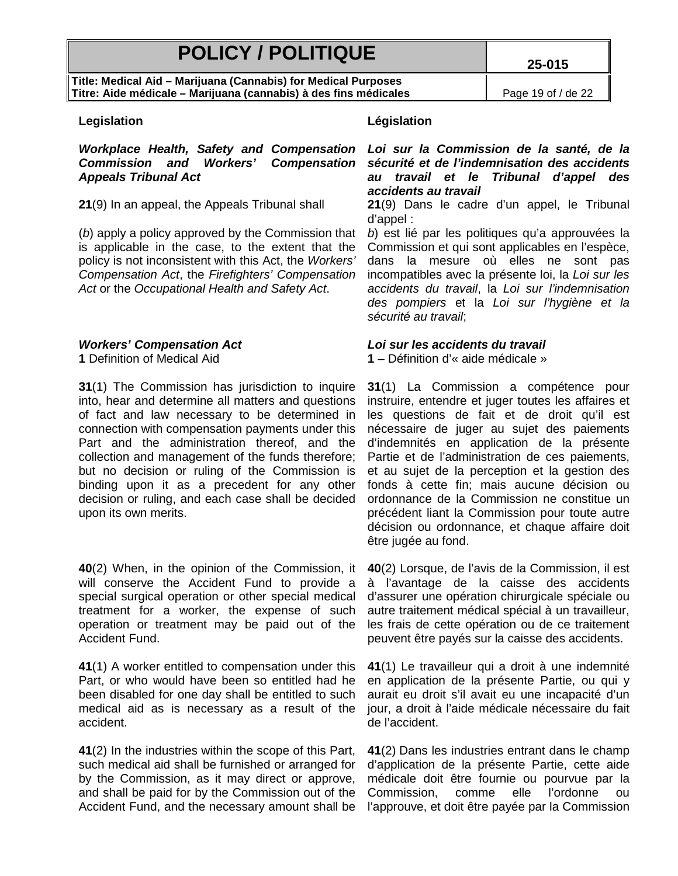| Title: Medical Aid – Marijuana (Cannabis) for Medical Purposes   |                    |
|------------------------------------------------------------------|--------------------|
| Titre: Aide médicale – Marijuana (cannabis) à des fins médicales | Page 19 of / de 22 |

### *Workplace Health, Safety and Compensation Commission and Workers' Compensation Appeals Tribunal Act*

(*b*) apply a policy approved by the Commission that is applicable in the case, to the extent that the policy is not inconsistent with this Act, the *Workers' Compensation Act*, the *Firefighters' Compensation Act* or the *Occupational Health and Safety Act*.

**31**(1) The Commission has jurisdiction to inquire into, hear and determine all matters and questions of fact and law necessary to be determined in connection with compensation payments under this Part and the administration thereof, and the collection and management of the funds therefore; but no decision or ruling of the Commission is binding upon it as a precedent for any other decision or ruling, and each case shall be decided upon its own merits.

**40**(2) When, in the opinion of the Commission, it will conserve the Accident Fund to provide a special surgical operation or other special medical treatment for a worker, the expense of such operation or treatment may be paid out of the Accident Fund.

**41**(1) A worker entitled to compensation under this Part, or who would have been so entitled had he been disabled for one day shall be entitled to such medical aid as is necessary as a result of the accident.

**41**(2) In the industries within the scope of this Part, such medical aid shall be furnished or arranged for by the Commission, as it may direct or approve, and shall be paid for by the Commission out of the Accident Fund, and the necessary amount shall be l'approuve, et doit être payée par la Commission

### **Legislation Législation**

*Loi sur la Commission de la santé, de la sécurité et de l'indemnisation des accidents au travail et le Tribunal d'appel des accidents au travail*

**21**(9) In an appeal, the Appeals Tribunal shall **21**(9) Dans le cadre d'un appel, le Tribunal d'appel :

> *b*) est lié par les politiques qu'a approuvées la Commission et qui sont applicables en l'espèce, dans la mesure où elles ne sont pas incompatibles avec la présente loi, la *Loi sur les accidents du travail*, la *Loi sur l'indemnisation des pompiers* et la *Loi sur l'hygiène et la sécurité au travail*;

*Workers' Compensation Act Loi sur les accidents du travail* **1** – Définition d'« aide médicale »

> **31**(1) La Commission a compétence pour instruire, entendre et juger toutes les affaires et les questions de fait et de droit qu'il est nécessaire de juger au sujet des paiements d'indemnités en application de la présente Partie et de l'administration de ces paiements, et au sujet de la perception et la gestion des fonds à cette fin; mais aucune décision ou ordonnance de la Commission ne constitue un précédent liant la Commission pour toute autre décision ou ordonnance, et chaque affaire doit être jugée au fond.

> **40**(2) Lorsque, de l'avis de la Commission, il est à l'avantage de la caisse des accidents d'assurer une opération chirurgicale spéciale ou autre traitement médical spécial à un travailleur, les frais de cette opération ou de ce traitement peuvent être payés sur la caisse des accidents.

> **41**(1) Le travailleur qui a droit à une indemnité en application de la présente Partie, ou qui y aurait eu droit s'il avait eu une incapacité d'un jour, a droit à l'aide médicale nécessaire du fait de l'accident.

> **41**(2) Dans les industries entrant dans le champ d'application de la présente Partie, cette aide médicale doit être fournie ou pourvue par la Commission, comme elle l'ordonne ou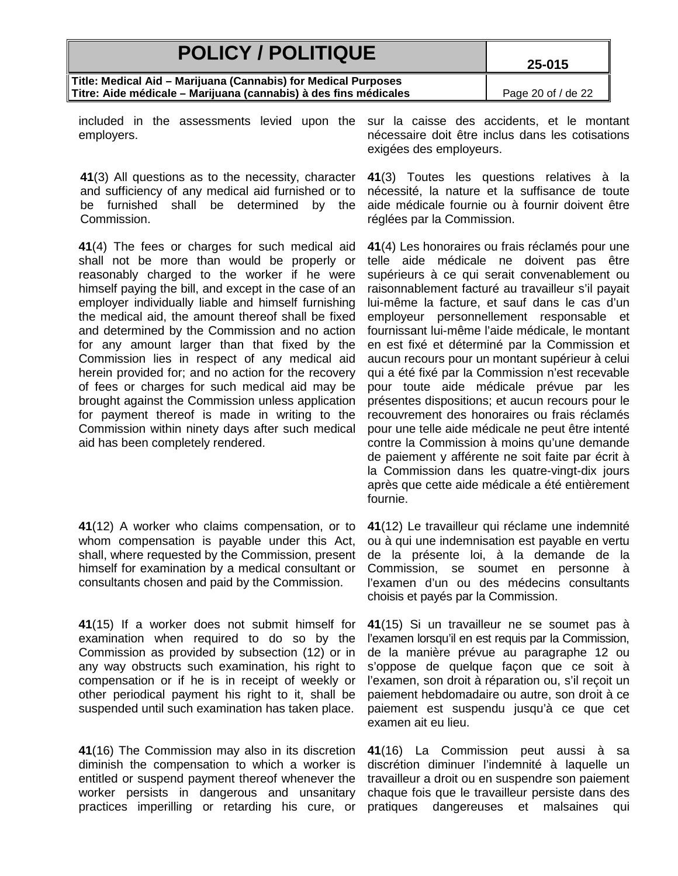| <b>POLICY / POLITIQUE</b>                                         | 25-015             |
|-------------------------------------------------------------------|--------------------|
| Title: Medical Aid – Marijuana (Cannabis) for Medical Purposes    |                    |
| ∥Titre: Aide médicale – Marijuana (cannabis) à des fins médicales | Page 20 of / de 22 |

included in the assessments levied upon the employers.

**41**(3) All questions as to the necessity, character and sufficiency of any medical aid furnished or to be furnished shall be determined by the Commission.

**41**(4) The fees or charges for such medical aid shall not be more than would be properly or reasonably charged to the worker if he were himself paying the bill, and except in the case of an employer individually liable and himself furnishing the medical aid, the amount thereof shall be fixed and determined by the Commission and no action for any amount larger than that fixed by the Commission lies in respect of any medical aid herein provided for; and no action for the recovery of fees or charges for such medical aid may be brought against the Commission unless application for payment thereof is made in writing to the Commission within ninety days after such medical aid has been completely rendered.

**41**(12) A worker who claims compensation, or to whom compensation is payable under this Act, shall, where requested by the Commission, present himself for examination by a medical consultant or consultants chosen and paid by the Commission.

**41**(15) If a worker does not submit himself for examination when required to do so by the Commission as provided by subsection (12) or in any way obstructs such examination, his right to compensation or if he is in receipt of weekly or other periodical payment his right to it, shall be suspended until such examination has taken place.

**41**(16) The Commission may also in its discretion diminish the compensation to which a worker is entitled or suspend payment thereof whenever the worker persists in dangerous and unsanitary practices imperilling or retarding his cure, or

sur la caisse des accidents, et le montant nécessaire doit être inclus dans les cotisations exigées des employeurs.

**41**(3) Toutes les questions relatives à la nécessité, la nature et la suffisance de toute aide médicale fournie ou à fournir doivent être réglées par la Commission.

**41**(4) Les honoraires ou frais réclamés pour une telle aide médicale ne doivent pas être supérieurs à ce qui serait convenablement ou raisonnablement facturé au travailleur s'il payait lui-même la facture, et sauf dans le cas d'un employeur personnellement responsable et fournissant lui-même l'aide médicale, le montant en est fixé et déterminé par la Commission et aucun recours pour un montant supérieur à celui qui a été fixé par la Commission n'est recevable pour toute aide médicale prévue par les présentes dispositions; et aucun recours pour le recouvrement des honoraires ou frais réclamés pour une telle aide médicale ne peut être intenté contre la Commission à moins qu'une demande de paiement y afférente ne soit faite par écrit à la Commission dans les quatre-vingt-dix jours après que cette aide médicale a été entièrement fournie.

**41**(12) Le travailleur qui réclame une indemnité ou à qui une indemnisation est payable en vertu de la présente loi, à la demande de la Commission, se soumet en personne à l'examen d'un ou des médecins consultants choisis et payés par la Commission.

**41**(15) Si un travailleur ne se soumet pas à l'examen lorsqu'il en est requis par la Commission, de la manière prévue au paragraphe 12 ou s'oppose de quelque façon que ce soit à l'examen, son droit à réparation ou, s'il reçoit un paiement hebdomadaire ou autre, son droit à ce paiement est suspendu jusqu'à ce que cet examen ait eu lieu.

**41**(16) La Commission peut aussi à sa discrétion diminuer l'indemnité à laquelle un travailleur a droit ou en suspendre son paiement chaque fois que le travailleur persiste dans des pratiques dangereuses et malsaines qui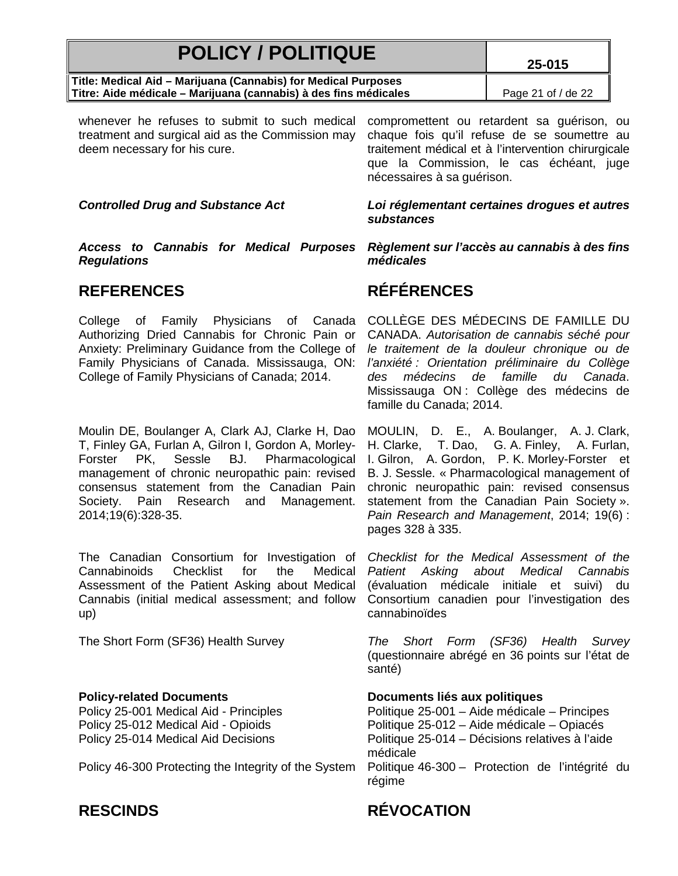| <b>POLICY / POLITIQUE</b>                                                                                                          |                            | 25-015                                                                                                                                                                                      |  |
|------------------------------------------------------------------------------------------------------------------------------------|----------------------------|---------------------------------------------------------------------------------------------------------------------------------------------------------------------------------------------|--|
| Title: Medical Aid – Marijuana (Cannabis) for Medical Purposes<br>Titre: Aide médicale – Marijuana (cannabis) à des fins médicales |                            | Page 21 of / de 22                                                                                                                                                                          |  |
| whenever he refuses to submit to such medical<br>treatment and surgical aid as the Commission may<br>deem necessary for his cure.  | nécessaires à sa guérison. | compromettent ou retardent sa guérison, ou<br>chaque fois qu'il refuse de se soumettre au<br>traitement médical et à l'intervention chirurgicale<br>que la Commission, le cas échéant, juge |  |
| <b>Controlled Drug and Substance Act</b>                                                                                           | substances                 | Loi réglementant certaines drogues et autres                                                                                                                                                |  |

*Access to Cannabis for Medical Purposes Regulations*

College of Family Physicians of Canada Authorizing Dried Cannabis for Chronic Pain or Anxiety: Preliminary Guidance from the College of Family Physicians of Canada. Mississauga, ON: College of Family Physicians of Canada; 2014.

Moulin DE, Boulanger A, Clark AJ, Clarke H, Dao T, Finley GA, Furlan A, Gilron I, Gordon A, Morley-Forster PK, Sessle BJ. Pharmacological management of chronic neuropathic pain: revised consensus statement from the Canadian Pain Society. Pain Research and Management. 2014;19(6):328-35.

The Canadian Consortium for Investigation of Cannabinoids Checklist for the Medical Assessment of the Patient Asking about Medical Cannabis (initial medical assessment; and follow up)

**Policy-related Documents**<br> **Policy 25-001 Medical Aid - Principles**<br> **Politique 25-001 – Aide médicale** 

Policy 46-300 Protecting the Integrity of the System Politique 46-300 – Protection de l'intégrité du

*Règlement sur l'accès au cannabis à des fins médicales*

## **REFERENCES RÉFÉRENCES**

COLLÈGE DES MÉDECINS DE FAMILLE DU CANADA. *Autorisation de cannabis séché pour le traitement de la douleur chronique ou de l'anxiété : Orientation préliminaire du Collège des médecins de famille du Canada*. Mississauga ON : Collège des médecins de famille du Canada; 2014.

MOULIN, D. E., A. Boulanger, A. J. Clark, H. Clarke, T. Dao, G. A. Finley, A. Furlan, I. Gilron, A. Gordon, P. K. Morley-Forster et B. J. Sessle. « Pharmacological management of chronic neuropathic pain: revised consensus statement from the Canadian Pain Society ». *Pain Research and Management*, 2014; 19(6) : pages 328 à 335.

*Checklist for the Medical Assessment of the Patient Asking about Medical Cannabis* (évaluation médicale initiale et suivi) du Consortium canadien pour l'investigation des cannabinoïdes

The Short Form (SF36) Health Survey *The Short Form (SF36) Health Survey* (questionnaire abrégé en 36 points sur l'état de santé)

Politique 25-001 – Aide médicale – Principes Policy 25-012 Medical Aid - Opioids Politique 25-012 – Aide médicale – Opiacés Policy 25-014 Medical Aid Decisions Politique 25-014 – Décisions relatives à l'aide médicale

# **RESCINDS RÉVOCATION**

régime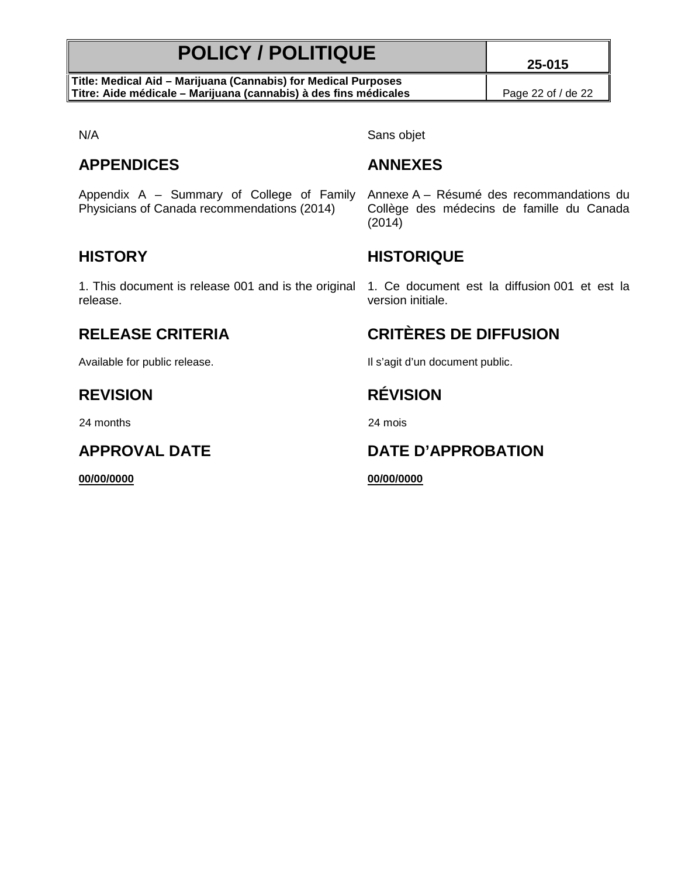**Title: Medical Aid – Marijuana (Cannabis) for Medical Purposes Titre: Aide médicale – Marijuana (cannabis) à des fins médicales** Page 22 of / de 22

## **APPENDICES ANNEXES**

Appendix A – Summary of College of Family Physicians of Canada recommendations (2014)

1. This document is release 001 and is the original release.

24 months 24 months 22 mois

**00/00/0000 00/00/0000**

N/A Sans objet

Annexe A – Résumé des recommandations du Collège des médecins de famille du Canada (2014)

## **HISTORY HISTORIQUE**

1. Ce document est la diffusion 001 et est la version initiale.

# **RELEASE CRITERIA CRITÈRES DE DIFFUSION**

Available for public release. The state of the state of the state of the state of the state of the state of the state of the state of the state of the state of the state of the state of the state of the state of the state

# **REVISION RÉVISION**

# **APPROVAL DATE DATE D'APPROBATION**